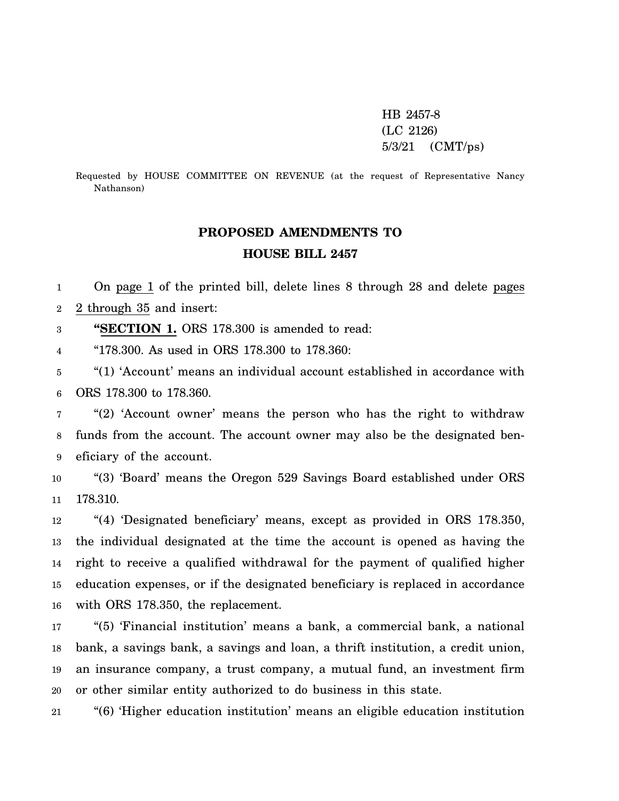HB 2457-8 (LC 2126) 5/3/21 (CMT/ps)

Requested by HOUSE COMMITTEE ON REVENUE (at the request of Representative Nancy Nathanson)

# **PROPOSED AMENDMENTS TO HOUSE BILL 2457**

1 2 On page 1 of the printed bill, delete lines 8 through 28 and delete pages 2 through 35 and insert:

3 **"SECTION 1.** ORS 178.300 is amended to read:

4 "178.300. As used in ORS 178.300 to 178.360:

5 6 "(1) 'Account' means an individual account established in accordance with ORS 178.300 to 178.360.

7 8 9 "(2) 'Account owner' means the person who has the right to withdraw funds from the account. The account owner may also be the designated beneficiary of the account.

10 11 "(3) 'Board' means the Oregon 529 Savings Board established under ORS 178.310.

12 13 14 15 16 "(4) 'Designated beneficiary' means, except as provided in ORS 178.350, the individual designated at the time the account is opened as having the right to receive a qualified withdrawal for the payment of qualified higher education expenses, or if the designated beneficiary is replaced in accordance with ORS 178.350, the replacement.

17 18 19 20 "(5) 'Financial institution' means a bank, a commercial bank, a national bank, a savings bank, a savings and loan, a thrift institution, a credit union, an insurance company, a trust company, a mutual fund, an investment firm or other similar entity authorized to do business in this state.

21 "(6) 'Higher education institution' means an eligible education institution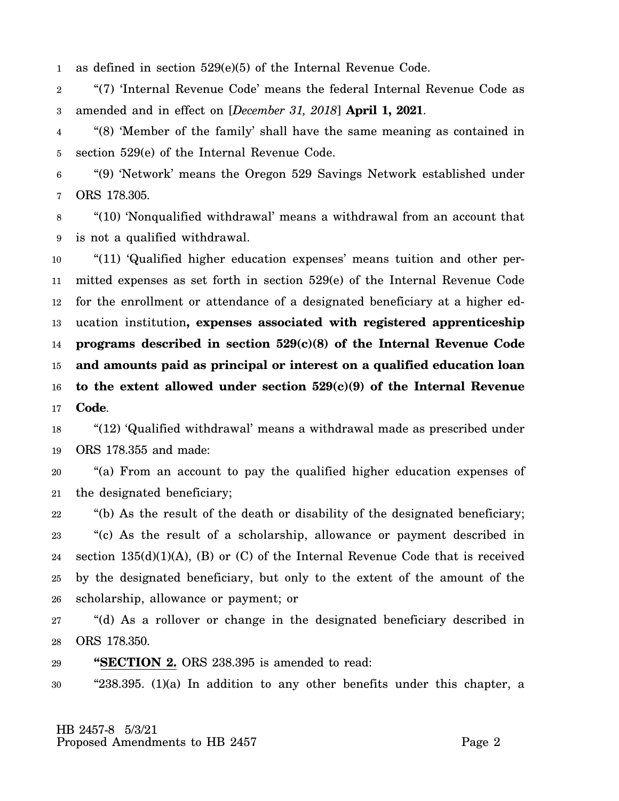1 as defined in section 529(e)(5) of the Internal Revenue Code.

2 3 "(7) 'Internal Revenue Code' means the federal Internal Revenue Code as amended and in effect on [*December 31, 2018*] **April 1, 2021**.

4 5 "(8) 'Member of the family' shall have the same meaning as contained in section 529(e) of the Internal Revenue Code.

6 7 "(9) 'Network' means the Oregon 529 Savings Network established under ORS 178.305.

8 9 "(10) 'Nonqualified withdrawal' means a withdrawal from an account that is not a qualified withdrawal.

10 11 12 13 14 15 16 17 "(11) 'Qualified higher education expenses' means tuition and other permitted expenses as set forth in section 529(e) of the Internal Revenue Code for the enrollment or attendance of a designated beneficiary at a higher education institution**, expenses associated with registered apprenticeship programs described in section 529(c)(8) of the Internal Revenue Code and amounts paid as principal or interest on a qualified education loan to the extent allowed under section 529(c)(9) of the Internal Revenue Code**.

18 19 "(12) 'Qualified withdrawal' means a withdrawal made as prescribed under ORS 178.355 and made:

20 21 "(a) From an account to pay the qualified higher education expenses of the designated beneficiary;

22 23 24 25 26 "(b) As the result of the death or disability of the designated beneficiary; "(c) As the result of a scholarship, allowance or payment described in section  $135(d)(1)(A)$ , (B) or (C) of the Internal Revenue Code that is received by the designated beneficiary, but only to the extent of the amount of the scholarship, allowance or payment; or

27 28 "(d) As a rollover or change in the designated beneficiary described in ORS 178.350.

29 **"SECTION 2.** ORS 238.395 is amended to read:

30 "238.395. (1)(a) In addition to any other benefits under this chapter, a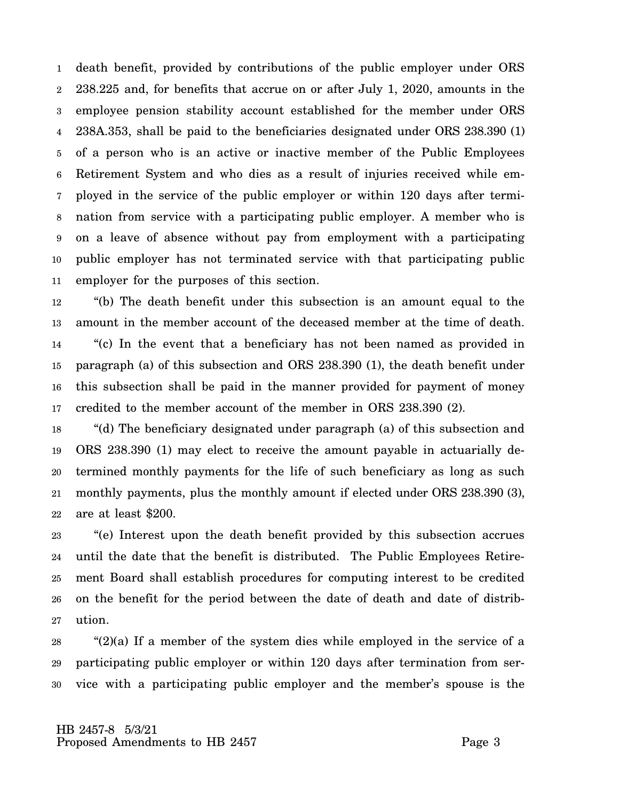1 2 3 4 5 6 7 8 9 10 11 death benefit, provided by contributions of the public employer under ORS 238.225 and, for benefits that accrue on or after July 1, 2020, amounts in the employee pension stability account established for the member under ORS 238A.353, shall be paid to the beneficiaries designated under ORS 238.390 (1) of a person who is an active or inactive member of the Public Employees Retirement System and who dies as a result of injuries received while employed in the service of the public employer or within 120 days after termination from service with a participating public employer. A member who is on a leave of absence without pay from employment with a participating public employer has not terminated service with that participating public employer for the purposes of this section.

12 13 14 15 16 17 "(b) The death benefit under this subsection is an amount equal to the amount in the member account of the deceased member at the time of death. "(c) In the event that a beneficiary has not been named as provided in paragraph (a) of this subsection and ORS 238.390 (1), the death benefit under this subsection shall be paid in the manner provided for payment of money credited to the member account of the member in ORS 238.390 (2).

18 19 20 21 22 "(d) The beneficiary designated under paragraph (a) of this subsection and ORS 238.390 (1) may elect to receive the amount payable in actuarially determined monthly payments for the life of such beneficiary as long as such monthly payments, plus the monthly amount if elected under ORS 238.390 (3), are at least \$200.

23 24 25 26 27 "(e) Interest upon the death benefit provided by this subsection accrues until the date that the benefit is distributed. The Public Employees Retirement Board shall establish procedures for computing interest to be credited on the benefit for the period between the date of death and date of distribution.

28 29 30 "(2)(a) If a member of the system dies while employed in the service of a participating public employer or within 120 days after termination from service with a participating public employer and the member's spouse is the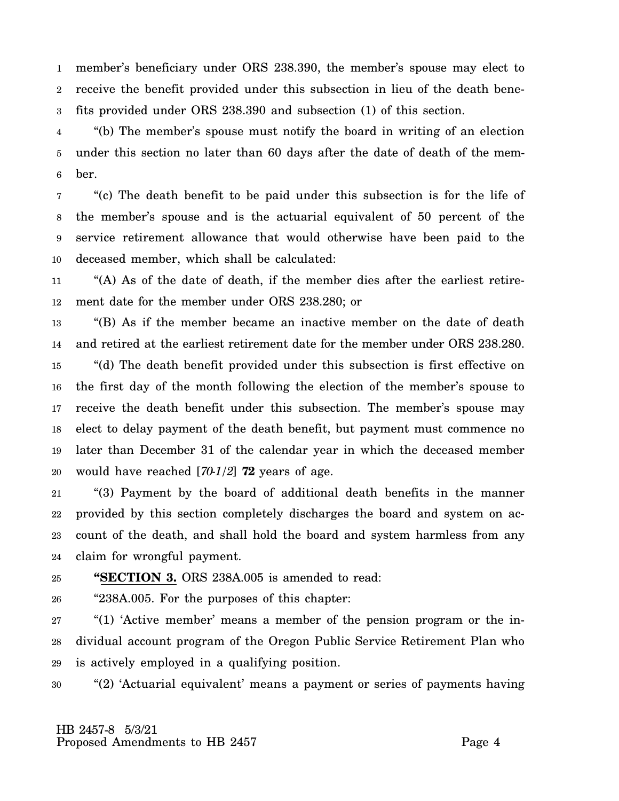1 2 3 member's beneficiary under ORS 238.390, the member's spouse may elect to receive the benefit provided under this subsection in lieu of the death benefits provided under ORS 238.390 and subsection (1) of this section.

4 5 6 "(b) The member's spouse must notify the board in writing of an election under this section no later than 60 days after the date of death of the member.

7 8 9 10 "(c) The death benefit to be paid under this subsection is for the life of the member's spouse and is the actuarial equivalent of 50 percent of the service retirement allowance that would otherwise have been paid to the deceased member, which shall be calculated:

11 12 "(A) As of the date of death, if the member dies after the earliest retirement date for the member under ORS 238.280; or

13 14 15 16 17 18 19 20 "(B) As if the member became an inactive member on the date of death and retired at the earliest retirement date for the member under ORS 238.280. "(d) The death benefit provided under this subsection is first effective on the first day of the month following the election of the member's spouse to receive the death benefit under this subsection. The member's spouse may elect to delay payment of the death benefit, but payment must commence no later than December 31 of the calendar year in which the deceased member would have reached [*70-1/2*] **72** years of age.

21 22 23 24 "(3) Payment by the board of additional death benefits in the manner provided by this section completely discharges the board and system on account of the death, and shall hold the board and system harmless from any claim for wrongful payment.

#### 25 **"SECTION 3.** ORS 238A.005 is amended to read:

26 "238A.005. For the purposes of this chapter:

27 28 29 "(1) 'Active member' means a member of the pension program or the individual account program of the Oregon Public Service Retirement Plan who is actively employed in a qualifying position.

30 "(2) 'Actuarial equivalent' means a payment or series of payments having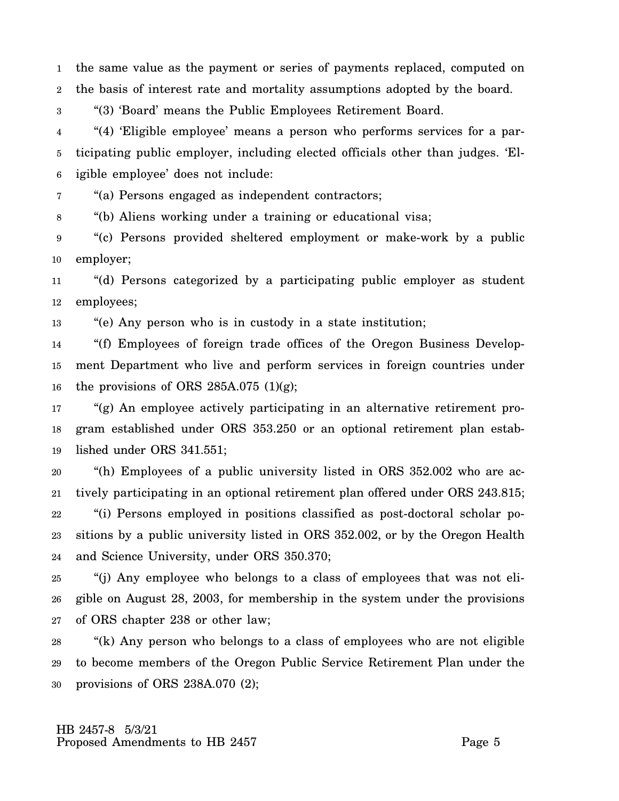1 2 the same value as the payment or series of payments replaced, computed on the basis of interest rate and mortality assumptions adopted by the board.

3 "(3) 'Board' means the Public Employees Retirement Board.

4 5 6 "(4) 'Eligible employee' means a person who performs services for a participating public employer, including elected officials other than judges. 'Eligible employee' does not include:

7 "(a) Persons engaged as independent contractors;

8 "(b) Aliens working under a training or educational visa;

9 10 "(c) Persons provided sheltered employment or make-work by a public employer;

11 12 "(d) Persons categorized by a participating public employer as student employees;

13 "(e) Any person who is in custody in a state institution;

14 15 16 "(f) Employees of foreign trade offices of the Oregon Business Development Department who live and perform services in foreign countries under the provisions of ORS 285A.075  $(1)(g)$ ;

17 18 19 "(g) An employee actively participating in an alternative retirement program established under ORS 353.250 or an optional retirement plan established under ORS 341.551;

20 21 22 23 24 "(h) Employees of a public university listed in ORS 352.002 who are actively participating in an optional retirement plan offered under ORS 243.815; "(i) Persons employed in positions classified as post-doctoral scholar positions by a public university listed in ORS 352.002, or by the Oregon Health and Science University, under ORS 350.370;

25 26 27 "(j) Any employee who belongs to a class of employees that was not eligible on August 28, 2003, for membership in the system under the provisions of ORS chapter 238 or other law;

28 29 30 "(k) Any person who belongs to a class of employees who are not eligible to become members of the Oregon Public Service Retirement Plan under the provisions of ORS 238A.070 (2);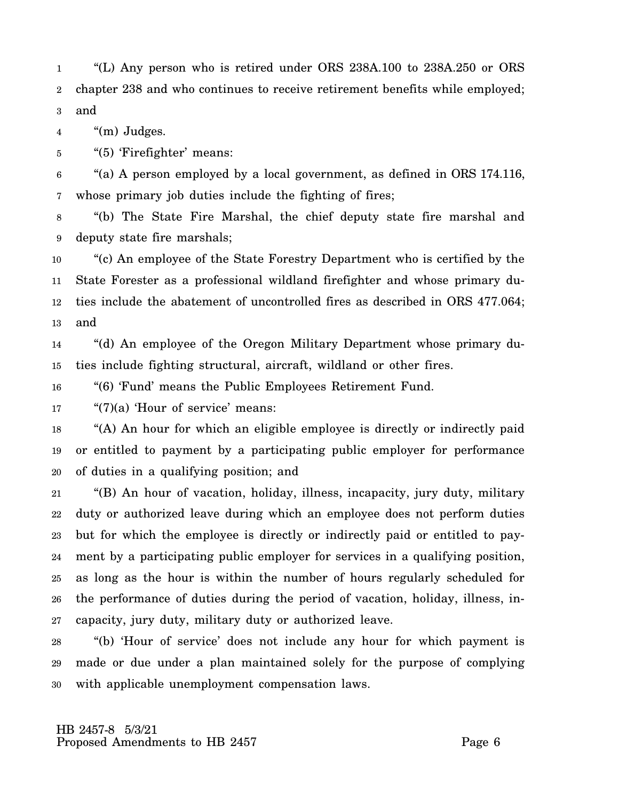1 2 3 "(L) Any person who is retired under ORS 238A.100 to 238A.250 or ORS chapter 238 and who continues to receive retirement benefits while employed; and

4 "(m) Judges.

5 "(5) 'Firefighter' means:

6 7 "(a) A person employed by a local government, as defined in ORS 174.116, whose primary job duties include the fighting of fires;

8 9 "(b) The State Fire Marshal, the chief deputy state fire marshal and deputy state fire marshals;

10 11 12 13 "(c) An employee of the State Forestry Department who is certified by the State Forester as a professional wildland firefighter and whose primary duties include the abatement of uncontrolled fires as described in ORS 477.064; and

14 15 "(d) An employee of the Oregon Military Department whose primary duties include fighting structural, aircraft, wildland or other fires.

16 "(6) 'Fund' means the Public Employees Retirement Fund.

17 "(7)(a) 'Hour of service' means:

18 19 20 "(A) An hour for which an eligible employee is directly or indirectly paid or entitled to payment by a participating public employer for performance of duties in a qualifying position; and

21 22 23 24 25 26 27 "(B) An hour of vacation, holiday, illness, incapacity, jury duty, military duty or authorized leave during which an employee does not perform duties but for which the employee is directly or indirectly paid or entitled to payment by a participating public employer for services in a qualifying position, as long as the hour is within the number of hours regularly scheduled for the performance of duties during the period of vacation, holiday, illness, incapacity, jury duty, military duty or authorized leave.

28 29 30 "(b) 'Hour of service' does not include any hour for which payment is made or due under a plan maintained solely for the purpose of complying with applicable unemployment compensation laws.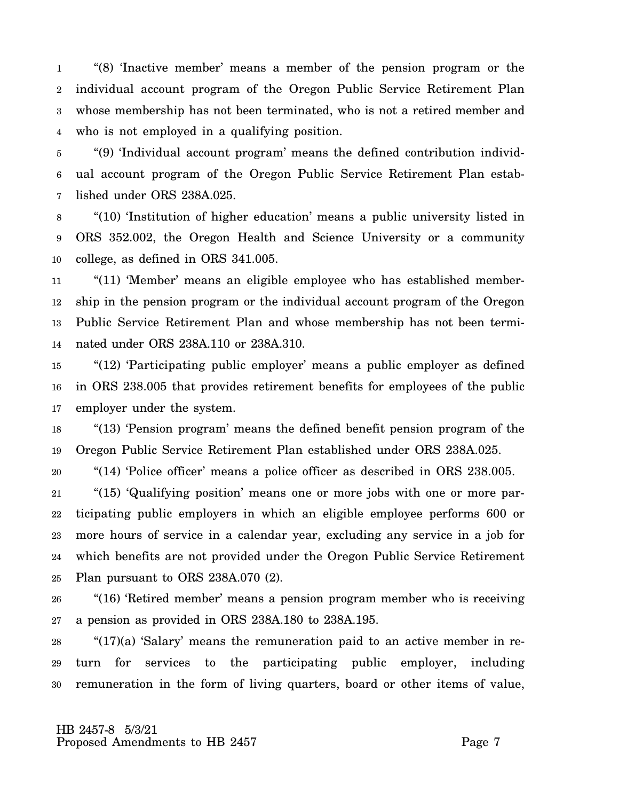1 2 3 4 "(8) 'Inactive member' means a member of the pension program or the individual account program of the Oregon Public Service Retirement Plan whose membership has not been terminated, who is not a retired member and who is not employed in a qualifying position.

5 6 7 "(9) 'Individual account program' means the defined contribution individual account program of the Oregon Public Service Retirement Plan established under ORS 238A.025.

8 9 10 "(10) 'Institution of higher education' means a public university listed in ORS 352.002, the Oregon Health and Science University or a community college, as defined in ORS 341.005.

11 12 13 14 "(11) 'Member' means an eligible employee who has established membership in the pension program or the individual account program of the Oregon Public Service Retirement Plan and whose membership has not been terminated under ORS 238A.110 or 238A.310.

15 16 17 "(12) 'Participating public employer' means a public employer as defined in ORS 238.005 that provides retirement benefits for employees of the public employer under the system.

18 19 "(13) 'Pension program' means the defined benefit pension program of the Oregon Public Service Retirement Plan established under ORS 238A.025.

20 "(14) 'Police officer' means a police officer as described in ORS 238.005.

21 22 23 24 25 "(15) 'Qualifying position' means one or more jobs with one or more participating public employers in which an eligible employee performs 600 or more hours of service in a calendar year, excluding any service in a job for which benefits are not provided under the Oregon Public Service Retirement Plan pursuant to ORS 238A.070 (2).

26 27 "(16) 'Retired member' means a pension program member who is receiving a pension as provided in ORS 238A.180 to 238A.195.

28 29 30 "(17)(a) 'Salary' means the remuneration paid to an active member in return for services to the participating public employer, including remuneration in the form of living quarters, board or other items of value,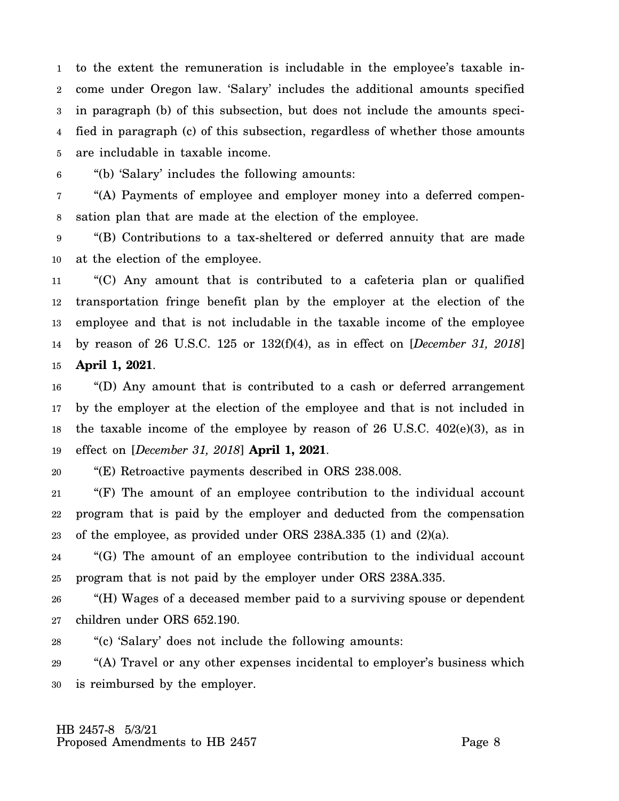1 2 3 4 5 to the extent the remuneration is includable in the employee's taxable income under Oregon law. 'Salary' includes the additional amounts specified in paragraph (b) of this subsection, but does not include the amounts specified in paragraph (c) of this subsection, regardless of whether those amounts are includable in taxable income.

6 "(b) 'Salary' includes the following amounts:

7 8 "(A) Payments of employee and employer money into a deferred compensation plan that are made at the election of the employee.

9 10 "(B) Contributions to a tax-sheltered or deferred annuity that are made at the election of the employee.

11 12 13 14 15 "(C) Any amount that is contributed to a cafeteria plan or qualified transportation fringe benefit plan by the employer at the election of the employee and that is not includable in the taxable income of the employee by reason of 26 U.S.C. 125 or 132(f)(4), as in effect on [*December 31, 2018*] **April 1, 2021**.

16 17 18 19 "(D) Any amount that is contributed to a cash or deferred arrangement by the employer at the election of the employee and that is not included in the taxable income of the employee by reason of 26 U.S.C. 402(e)(3), as in effect on [*December 31, 2018*] **April 1, 2021**.

20 "(E) Retroactive payments described in ORS 238.008.

21 22 23 "(F) The amount of an employee contribution to the individual account program that is paid by the employer and deducted from the compensation of the employee, as provided under ORS 238A.335 (1) and (2)(a).

24 25 "(G) The amount of an employee contribution to the individual account program that is not paid by the employer under ORS 238A.335.

26 27 "(H) Wages of a deceased member paid to a surviving spouse or dependent children under ORS 652.190.

28 "(c) 'Salary' does not include the following amounts:

29 30 "(A) Travel or any other expenses incidental to employer's business which is reimbursed by the employer.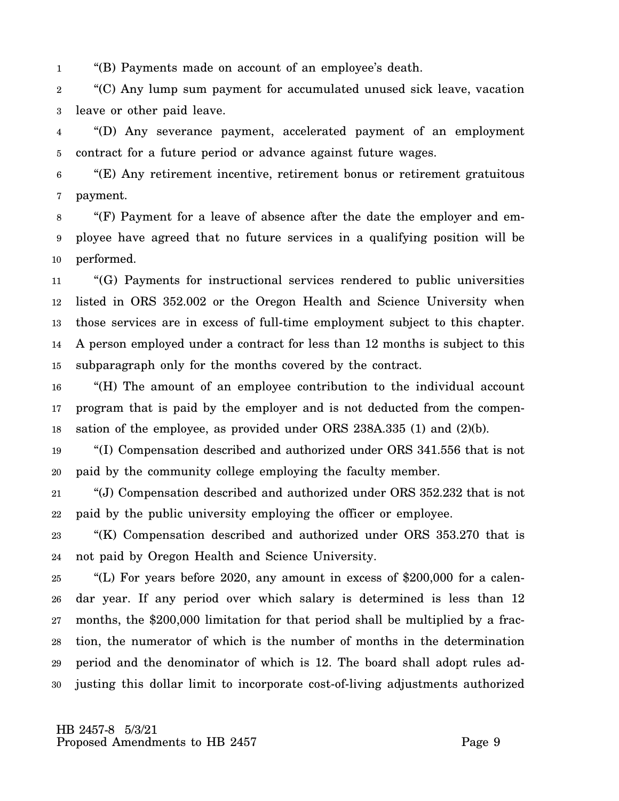1 "(B) Payments made on account of an employee's death.

2 3 "(C) Any lump sum payment for accumulated unused sick leave, vacation leave or other paid leave.

4 5 "(D) Any severance payment, accelerated payment of an employment contract for a future period or advance against future wages.

6 7 "(E) Any retirement incentive, retirement bonus or retirement gratuitous payment.

8 9 10 "(F) Payment for a leave of absence after the date the employer and employee have agreed that no future services in a qualifying position will be performed.

11 12 13 14 15 "(G) Payments for instructional services rendered to public universities listed in ORS 352.002 or the Oregon Health and Science University when those services are in excess of full-time employment subject to this chapter. A person employed under a contract for less than 12 months is subject to this subparagraph only for the months covered by the contract.

16 17 18 "(H) The amount of an employee contribution to the individual account program that is paid by the employer and is not deducted from the compensation of the employee, as provided under ORS 238A.335 (1) and (2)(b).

19 20 "(I) Compensation described and authorized under ORS 341.556 that is not paid by the community college employing the faculty member.

21 22 "(J) Compensation described and authorized under ORS 352.232 that is not paid by the public university employing the officer or employee.

23 24 "(K) Compensation described and authorized under ORS 353.270 that is not paid by Oregon Health and Science University.

25 26 27 28 29 30 "(L) For years before 2020, any amount in excess of \$200,000 for a calendar year. If any period over which salary is determined is less than 12 months, the \$200,000 limitation for that period shall be multiplied by a fraction, the numerator of which is the number of months in the determination period and the denominator of which is 12. The board shall adopt rules adjusting this dollar limit to incorporate cost-of-living adjustments authorized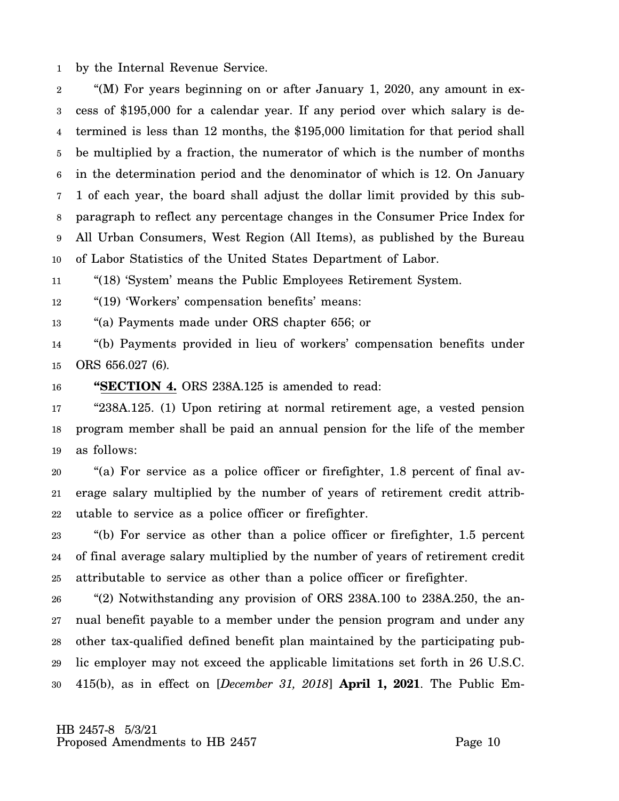1 by the Internal Revenue Service.

2 3 4 5 6 7 8 9 10 "(M) For years beginning on or after January 1, 2020, any amount in excess of \$195,000 for a calendar year. If any period over which salary is determined is less than 12 months, the \$195,000 limitation for that period shall be multiplied by a fraction, the numerator of which is the number of months in the determination period and the denominator of which is 12. On January 1 of each year, the board shall adjust the dollar limit provided by this subparagraph to reflect any percentage changes in the Consumer Price Index for All Urban Consumers, West Region (All Items), as published by the Bureau of Labor Statistics of the United States Department of Labor.

11 "(18) 'System' means the Public Employees Retirement System.

12 "(19) 'Workers' compensation benefits' means:

13 "(a) Payments made under ORS chapter 656; or

14 15 "(b) Payments provided in lieu of workers' compensation benefits under ORS 656.027 (6).

16 **"SECTION 4.** ORS 238A.125 is amended to read:

17 18 19 "238A.125. (1) Upon retiring at normal retirement age, a vested pension program member shall be paid an annual pension for the life of the member as follows:

20 21 22 "(a) For service as a police officer or firefighter, 1.8 percent of final average salary multiplied by the number of years of retirement credit attributable to service as a police officer or firefighter.

23 24 25 "(b) For service as other than a police officer or firefighter, 1.5 percent of final average salary multiplied by the number of years of retirement credit attributable to service as other than a police officer or firefighter.

26 27 28 29 30 "(2) Notwithstanding any provision of ORS 238A.100 to 238A.250, the annual benefit payable to a member under the pension program and under any other tax-qualified defined benefit plan maintained by the participating public employer may not exceed the applicable limitations set forth in 26 U.S.C. 415(b), as in effect on [*December 31, 2018*] **April 1, 2021**. The Public Em-

 HB 2457-8 5/3/21 Proposed Amendments to HB 2457 Proposed Amendments to HB 2457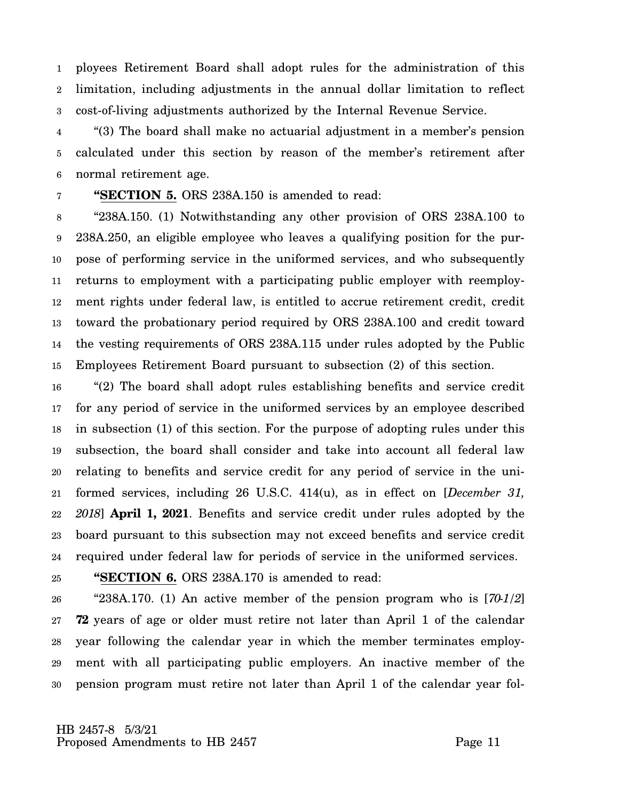1 2 3 ployees Retirement Board shall adopt rules for the administration of this limitation, including adjustments in the annual dollar limitation to reflect cost-of-living adjustments authorized by the Internal Revenue Service.

4 5 6 "(3) The board shall make no actuarial adjustment in a member's pension calculated under this section by reason of the member's retirement after normal retirement age.

#### 7 **"SECTION 5.** ORS 238A.150 is amended to read:

8 9 10 11 12 13 14 15 "238A.150. (1) Notwithstanding any other provision of ORS 238A.100 to 238A.250, an eligible employee who leaves a qualifying position for the purpose of performing service in the uniformed services, and who subsequently returns to employment with a participating public employer with reemployment rights under federal law, is entitled to accrue retirement credit, credit toward the probationary period required by ORS 238A.100 and credit toward the vesting requirements of ORS 238A.115 under rules adopted by the Public Employees Retirement Board pursuant to subsection (2) of this section.

16 17 18 19 20 21 22 23 24 "(2) The board shall adopt rules establishing benefits and service credit for any period of service in the uniformed services by an employee described in subsection (1) of this section. For the purpose of adopting rules under this subsection, the board shall consider and take into account all federal law relating to benefits and service credit for any period of service in the uniformed services, including 26 U.S.C. 414(u), as in effect on [*December 31, 2018*] **April 1, 2021**. Benefits and service credit under rules adopted by the board pursuant to this subsection may not exceed benefits and service credit required under federal law for periods of service in the uniformed services.

25

**"SECTION 6.** ORS 238A.170 is amended to read:

26 27 28 29 30 "238A.170. (1) An active member of the pension program who is [*70-1/2*] **72** years of age or older must retire not later than April 1 of the calendar year following the calendar year in which the member terminates employment with all participating public employers. An inactive member of the pension program must retire not later than April 1 of the calendar year fol-

 HB 2457-8 5/3/21 Proposed Amendments to HB 2457 Proposed Amendments to HB 2457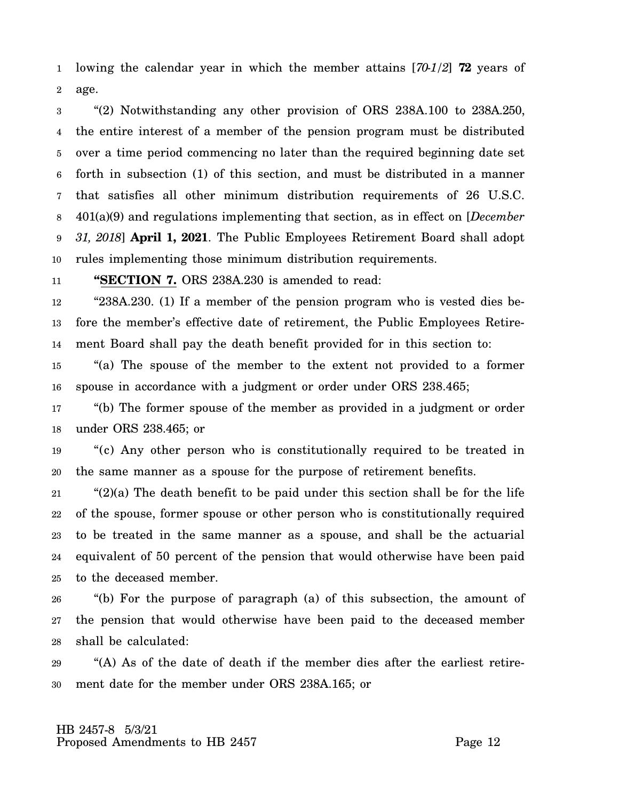1 2 lowing the calendar year in which the member attains [*70-1/2*] **72** years of age.

3 4 5 6 7 8 9 10 "(2) Notwithstanding any other provision of ORS 238A.100 to 238A.250, the entire interest of a member of the pension program must be distributed over a time period commencing no later than the required beginning date set forth in subsection (1) of this section, and must be distributed in a manner that satisfies all other minimum distribution requirements of 26 U.S.C. 401(a)(9) and regulations implementing that section, as in effect on [*December 31, 2018*] **April 1, 2021**. The Public Employees Retirement Board shall adopt rules implementing those minimum distribution requirements.

11 **"SECTION 7.** ORS 238A.230 is amended to read:

12 13 14 "238A.230. (1) If a member of the pension program who is vested dies before the member's effective date of retirement, the Public Employees Retirement Board shall pay the death benefit provided for in this section to:

15 16 "(a) The spouse of the member to the extent not provided to a former spouse in accordance with a judgment or order under ORS 238.465;

17 18 "(b) The former spouse of the member as provided in a judgment or order under ORS 238.465; or

19 20 "(c) Any other person who is constitutionally required to be treated in the same manner as a spouse for the purpose of retirement benefits.

21 22 23 24 25 " $(2)(a)$  The death benefit to be paid under this section shall be for the life of the spouse, former spouse or other person who is constitutionally required to be treated in the same manner as a spouse, and shall be the actuarial equivalent of 50 percent of the pension that would otherwise have been paid to the deceased member.

26 27 28 "(b) For the purpose of paragraph (a) of this subsection, the amount of the pension that would otherwise have been paid to the deceased member shall be calculated:

29 30 "(A) As of the date of death if the member dies after the earliest retirement date for the member under ORS 238A.165; or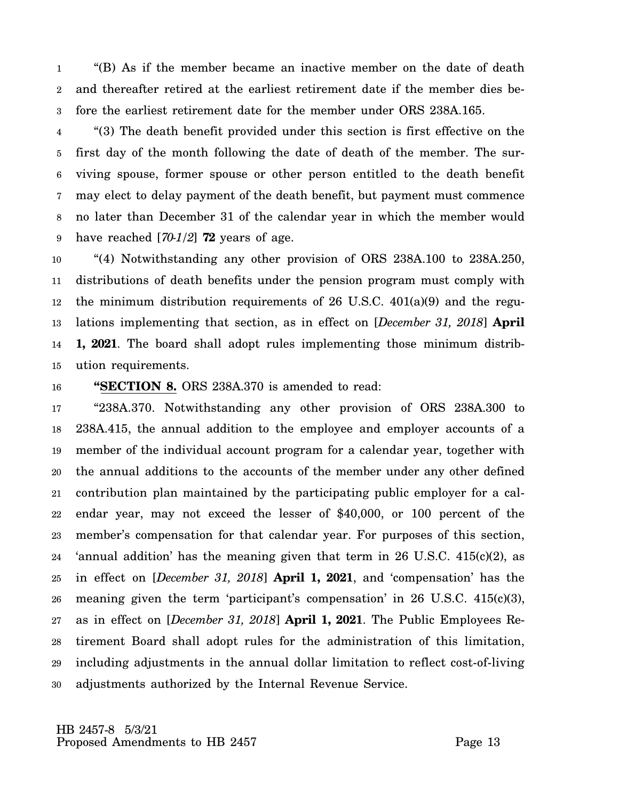1 2 3 "(B) As if the member became an inactive member on the date of death and thereafter retired at the earliest retirement date if the member dies before the earliest retirement date for the member under ORS 238A.165.

4 5 6 7 8 9 "(3) The death benefit provided under this section is first effective on the first day of the month following the date of death of the member. The surviving spouse, former spouse or other person entitled to the death benefit may elect to delay payment of the death benefit, but payment must commence no later than December 31 of the calendar year in which the member would have reached [*70-1/2*] **72** years of age.

10 11 12 13 14 15 "(4) Notwithstanding any other provision of ORS 238A.100 to 238A.250, distributions of death benefits under the pension program must comply with the minimum distribution requirements of  $26 \text{ U.S.C. } 401(a)(9)$  and the regulations implementing that section, as in effect on [*December 31, 2018*] **April 1, 2021**. The board shall adopt rules implementing those minimum distribution requirements.

16

## **"SECTION 8.** ORS 238A.370 is amended to read:

17 18 19 20 21 22 23 24 25 26 27 28 29 30 "238A.370. Notwithstanding any other provision of ORS 238A.300 to 238A.415, the annual addition to the employee and employer accounts of a member of the individual account program for a calendar year, together with the annual additions to the accounts of the member under any other defined contribution plan maintained by the participating public employer for a calendar year, may not exceed the lesser of \$40,000, or 100 percent of the member's compensation for that calendar year. For purposes of this section, 'annual addition' has the meaning given that term in 26 U.S.C. 415(c)(2), as in effect on [*December 31, 2018*] **April 1, 2021**, and 'compensation' has the meaning given the term 'participant's compensation' in 26 U.S.C. 415(c)(3), as in effect on [*December 31, 2018*] **April 1, 2021**. The Public Employees Retirement Board shall adopt rules for the administration of this limitation, including adjustments in the annual dollar limitation to reflect cost-of-living adjustments authorized by the Internal Revenue Service.

 HB 2457-8 5/3/21 Proposed Amendments to HB 2457 Proposed Amendments to HB 2457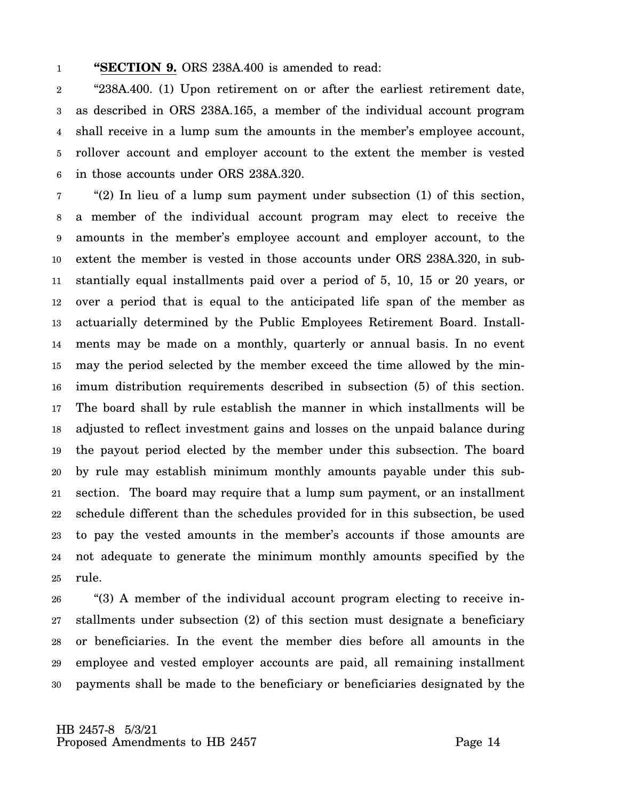#### 1 **"SECTION 9.** ORS 238A.400 is amended to read:

2 3 4 5 6 "238A.400. (1) Upon retirement on or after the earliest retirement date, as described in ORS 238A.165, a member of the individual account program shall receive in a lump sum the amounts in the member's employee account, rollover account and employer account to the extent the member is vested in those accounts under ORS 238A.320.

7 8 9 10 11 12 13 14 15 16 17 18 19 20 21 22 23 24 25 "(2) In lieu of a lump sum payment under subsection (1) of this section, a member of the individual account program may elect to receive the amounts in the member's employee account and employer account, to the extent the member is vested in those accounts under ORS 238A.320, in substantially equal installments paid over a period of 5, 10, 15 or 20 years, or over a period that is equal to the anticipated life span of the member as actuarially determined by the Public Employees Retirement Board. Installments may be made on a monthly, quarterly or annual basis. In no event may the period selected by the member exceed the time allowed by the minimum distribution requirements described in subsection (5) of this section. The board shall by rule establish the manner in which installments will be adjusted to reflect investment gains and losses on the unpaid balance during the payout period elected by the member under this subsection. The board by rule may establish minimum monthly amounts payable under this subsection. The board may require that a lump sum payment, or an installment schedule different than the schedules provided for in this subsection, be used to pay the vested amounts in the member's accounts if those amounts are not adequate to generate the minimum monthly amounts specified by the rule.

26 27 28 29 30 "(3) A member of the individual account program electing to receive installments under subsection (2) of this section must designate a beneficiary or beneficiaries. In the event the member dies before all amounts in the employee and vested employer accounts are paid, all remaining installment payments shall be made to the beneficiary or beneficiaries designated by the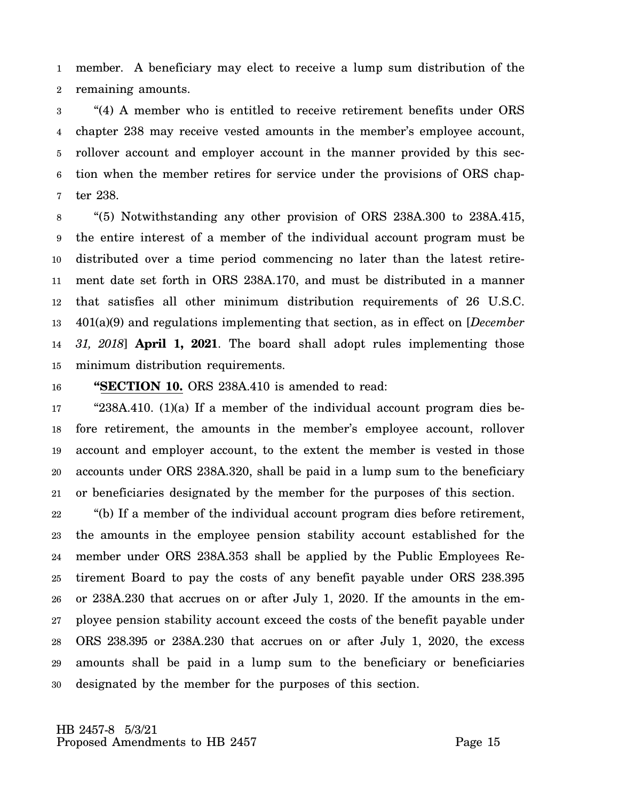1 2 member. A beneficiary may elect to receive a lump sum distribution of the remaining amounts.

3 4 5 6 7 "(4) A member who is entitled to receive retirement benefits under ORS chapter 238 may receive vested amounts in the member's employee account, rollover account and employer account in the manner provided by this section when the member retires for service under the provisions of ORS chapter 238.

8 9 10 11 12 13 14 15 "(5) Notwithstanding any other provision of ORS 238A.300 to 238A.415, the entire interest of a member of the individual account program must be distributed over a time period commencing no later than the latest retirement date set forth in ORS 238A.170, and must be distributed in a manner that satisfies all other minimum distribution requirements of 26 U.S.C. 401(a)(9) and regulations implementing that section, as in effect on [*December 31, 2018*] **April 1, 2021**. The board shall adopt rules implementing those minimum distribution requirements.

16

## **"SECTION 10.** ORS 238A.410 is amended to read:

17 18 19 20 21 " $238A.410.$  (1)(a) If a member of the individual account program dies before retirement, the amounts in the member's employee account, rollover account and employer account, to the extent the member is vested in those accounts under ORS 238A.320, shall be paid in a lump sum to the beneficiary or beneficiaries designated by the member for the purposes of this section.

22 23 24 25 26 27 28 29 30 "(b) If a member of the individual account program dies before retirement, the amounts in the employee pension stability account established for the member under ORS 238A.353 shall be applied by the Public Employees Retirement Board to pay the costs of any benefit payable under ORS 238.395 or 238A.230 that accrues on or after July 1, 2020. If the amounts in the employee pension stability account exceed the costs of the benefit payable under ORS 238.395 or 238A.230 that accrues on or after July 1, 2020, the excess amounts shall be paid in a lump sum to the beneficiary or beneficiaries designated by the member for the purposes of this section.

 HB 2457-8 5/3/21 Proposed Amendments to HB 2457 Proposed Amendments to HB 2457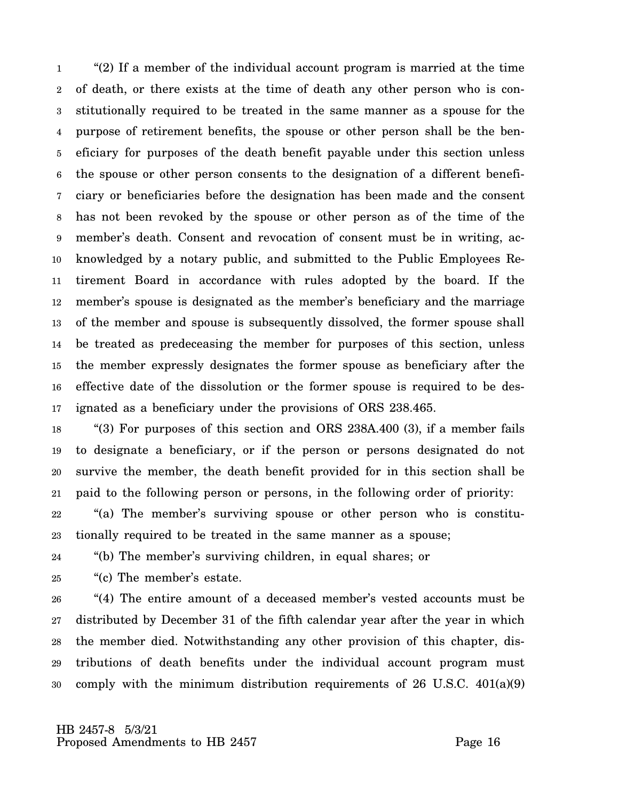1 2 3 4 5 6 7 8 9 10 11 12 13 14 15 16 17 "(2) If a member of the individual account program is married at the time of death, or there exists at the time of death any other person who is constitutionally required to be treated in the same manner as a spouse for the purpose of retirement benefits, the spouse or other person shall be the beneficiary for purposes of the death benefit payable under this section unless the spouse or other person consents to the designation of a different beneficiary or beneficiaries before the designation has been made and the consent has not been revoked by the spouse or other person as of the time of the member's death. Consent and revocation of consent must be in writing, acknowledged by a notary public, and submitted to the Public Employees Retirement Board in accordance with rules adopted by the board. If the member's spouse is designated as the member's beneficiary and the marriage of the member and spouse is subsequently dissolved, the former spouse shall be treated as predeceasing the member for purposes of this section, unless the member expressly designates the former spouse as beneficiary after the effective date of the dissolution or the former spouse is required to be designated as a beneficiary under the provisions of ORS 238.465.

18 19 20 21 "(3) For purposes of this section and ORS 238A.400 (3), if a member fails to designate a beneficiary, or if the person or persons designated do not survive the member, the death benefit provided for in this section shall be paid to the following person or persons, in the following order of priority:

22 23 "(a) The member's surviving spouse or other person who is constitutionally required to be treated in the same manner as a spouse;

24 "(b) The member's surviving children, in equal shares; or

25 "(c) The member's estate.

26 27 28 29 30 "(4) The entire amount of a deceased member's vested accounts must be distributed by December 31 of the fifth calendar year after the year in which the member died. Notwithstanding any other provision of this chapter, distributions of death benefits under the individual account program must comply with the minimum distribution requirements of 26 U.S.C. 401(a)(9)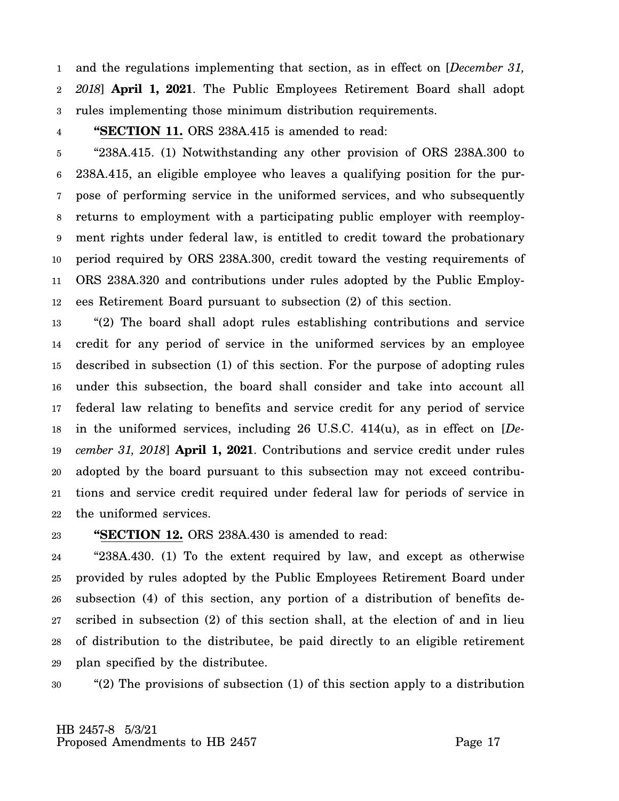1 2 3 and the regulations implementing that section, as in effect on [*December 31, 2018*] **April 1, 2021**. The Public Employees Retirement Board shall adopt rules implementing those minimum distribution requirements.

### 4

**"SECTION 11.** ORS 238A.415 is amended to read:

5 6 7 8 9 10 11 12 "238A.415. (1) Notwithstanding any other provision of ORS 238A.300 to 238A.415, an eligible employee who leaves a qualifying position for the purpose of performing service in the uniformed services, and who subsequently returns to employment with a participating public employer with reemployment rights under federal law, is entitled to credit toward the probationary period required by ORS 238A.300, credit toward the vesting requirements of ORS 238A.320 and contributions under rules adopted by the Public Employees Retirement Board pursuant to subsection (2) of this section.

13 14 15 16 17 18 19 20 21 22 "(2) The board shall adopt rules establishing contributions and service credit for any period of service in the uniformed services by an employee described in subsection (1) of this section. For the purpose of adopting rules under this subsection, the board shall consider and take into account all federal law relating to benefits and service credit for any period of service in the uniformed services, including 26 U.S.C. 414(u), as in effect on [*December 31, 2018*] **April 1, 2021**. Contributions and service credit under rules adopted by the board pursuant to this subsection may not exceed contributions and service credit required under federal law for periods of service in the uniformed services.

#### 23 **"SECTION 12.** ORS 238A.430 is amended to read:

24 25 26 27 28 29 "238A.430. (1) To the extent required by law, and except as otherwise provided by rules adopted by the Public Employees Retirement Board under subsection (4) of this section, any portion of a distribution of benefits described in subsection (2) of this section shall, at the election of and in lieu of distribution to the distributee, be paid directly to an eligible retirement plan specified by the distributee.

30 "(2) The provisions of subsection (1) of this section apply to a distribution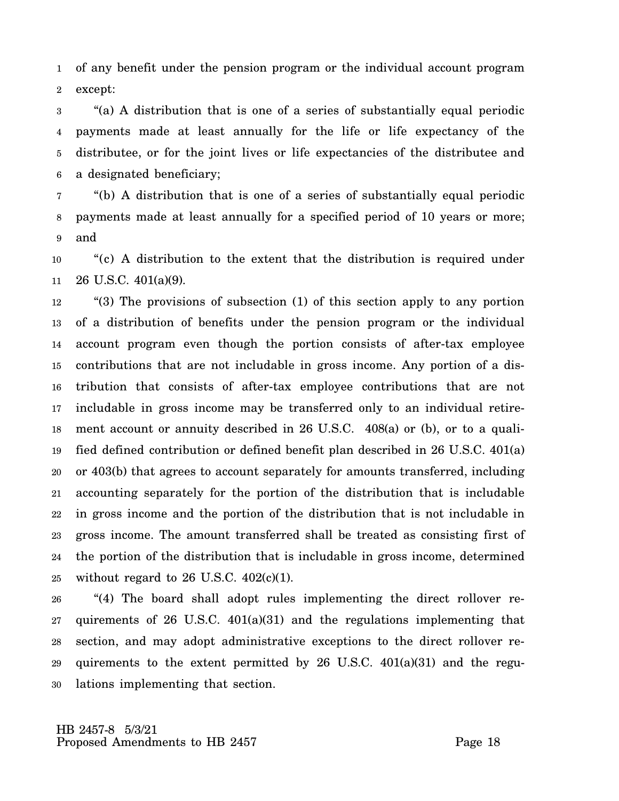1 2 of any benefit under the pension program or the individual account program except:

3 4 5 6 "(a) A distribution that is one of a series of substantially equal periodic payments made at least annually for the life or life expectancy of the distributee, or for the joint lives or life expectancies of the distributee and a designated beneficiary;

7 8 9 "(b) A distribution that is one of a series of substantially equal periodic payments made at least annually for a specified period of 10 years or more; and

10 11 "(c) A distribution to the extent that the distribution is required under 26 U.S.C. 401(a)(9).

12 13 14 15 16 17 18 19 20 21 22 23 24 25 "(3) The provisions of subsection (1) of this section apply to any portion of a distribution of benefits under the pension program or the individual account program even though the portion consists of after-tax employee contributions that are not includable in gross income. Any portion of a distribution that consists of after-tax employee contributions that are not includable in gross income may be transferred only to an individual retirement account or annuity described in 26 U.S.C. 408(a) or (b), or to a qualified defined contribution or defined benefit plan described in 26 U.S.C. 401(a) or 403(b) that agrees to account separately for amounts transferred, including accounting separately for the portion of the distribution that is includable in gross income and the portion of the distribution that is not includable in gross income. The amount transferred shall be treated as consisting first of the portion of the distribution that is includable in gross income, determined without regard to 26 U.S.C.  $402(c)(1)$ .

26 27 28 29 30 "(4) The board shall adopt rules implementing the direct rollover requirements of 26 U.S.C. 401(a)(31) and the regulations implementing that section, and may adopt administrative exceptions to the direct rollover requirements to the extent permitted by  $26$  U.S.C.  $401(a)(31)$  and the regulations implementing that section.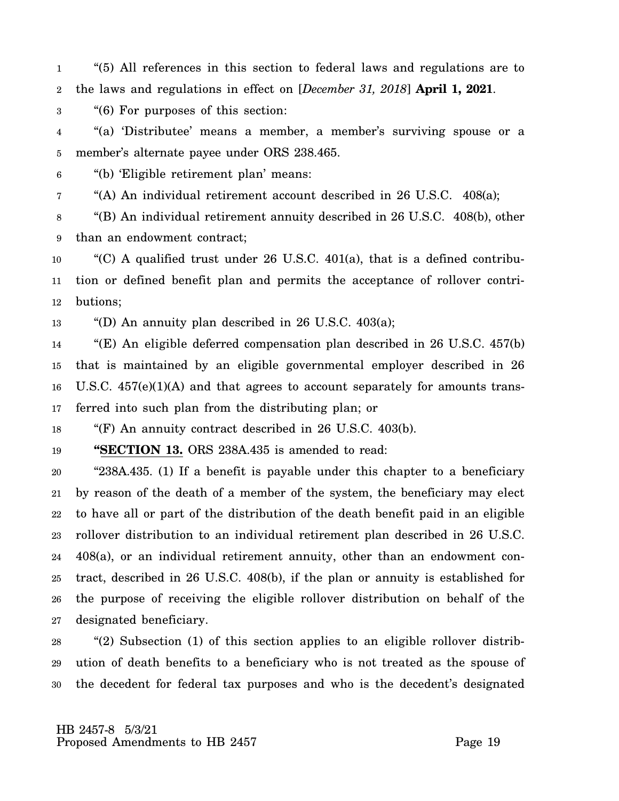1 2 "(5) All references in this section to federal laws and regulations are to the laws and regulations in effect on [*December 31, 2018*] **April 1, 2021**.

3 "(6) For purposes of this section:

4 5 "(a) 'Distributee' means a member, a member's surviving spouse or a member's alternate payee under ORS 238.465.

6 "(b) 'Eligible retirement plan' means:

7 "(A) An individual retirement account described in 26 U.S.C. 408(a);

8 9 "(B) An individual retirement annuity described in 26 U.S.C. 408(b), other than an endowment contract;

10 11 12 "(C) A qualified trust under 26 U.S.C.  $401(a)$ , that is a defined contribution or defined benefit plan and permits the acceptance of rollover contributions;

13 "(D) An annuity plan described in 26 U.S.C. 403(a);

14 15 16 17 "(E) An eligible deferred compensation plan described in 26 U.S.C. 457(b) that is maintained by an eligible governmental employer described in 26 U.S.C. 457(e)(1)(A) and that agrees to account separately for amounts transferred into such plan from the distributing plan; or

18 "(F) An annuity contract described in 26 U.S.C. 403(b).

19 **"SECTION 13.** ORS 238A.435 is amended to read:

20 21 22 23 24 25 26 27 "238A.435. (1) If a benefit is payable under this chapter to a beneficiary by reason of the death of a member of the system, the beneficiary may elect to have all or part of the distribution of the death benefit paid in an eligible rollover distribution to an individual retirement plan described in 26 U.S.C. 408(a), or an individual retirement annuity, other than an endowment contract, described in 26 U.S.C. 408(b), if the plan or annuity is established for the purpose of receiving the eligible rollover distribution on behalf of the designated beneficiary.

28 29 30 "(2) Subsection (1) of this section applies to an eligible rollover distribution of death benefits to a beneficiary who is not treated as the spouse of the decedent for federal tax purposes and who is the decedent's designated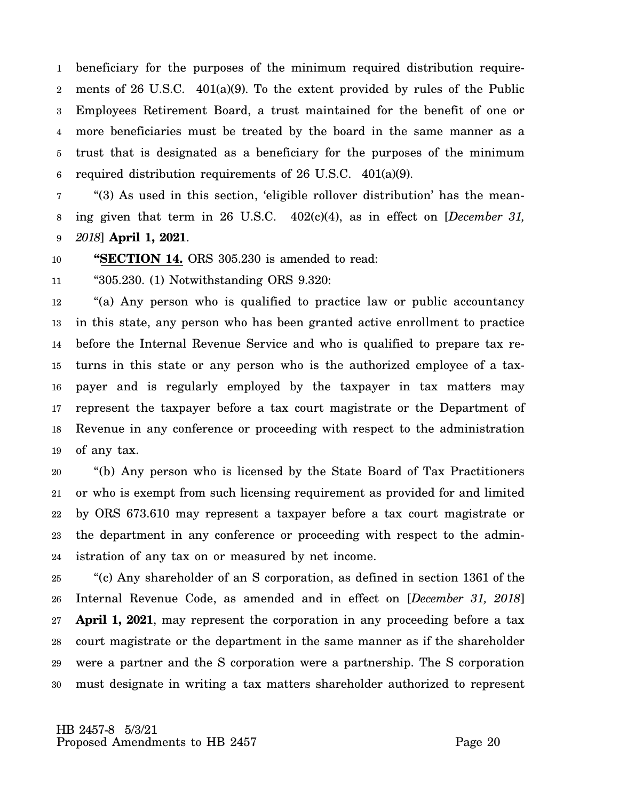1 2 3 4 5 6 beneficiary for the purposes of the minimum required distribution requirements of 26 U.S.C. 401(a)(9). To the extent provided by rules of the Public Employees Retirement Board, a trust maintained for the benefit of one or more beneficiaries must be treated by the board in the same manner as a trust that is designated as a beneficiary for the purposes of the minimum required distribution requirements of 26 U.S.C. 401(a)(9).

7 8 9 "(3) As used in this section, 'eligible rollover distribution' has the meaning given that term in 26 U.S.C. 402(c)(4), as in effect on [*December 31, 2018*] **April 1, 2021**.

10 **"SECTION 14.** ORS 305.230 is amended to read:

11 "305.230. (1) Notwithstanding ORS 9.320:

12 13 14 15 16 17 18 19 "(a) Any person who is qualified to practice law or public accountancy in this state, any person who has been granted active enrollment to practice before the Internal Revenue Service and who is qualified to prepare tax returns in this state or any person who is the authorized employee of a taxpayer and is regularly employed by the taxpayer in tax matters may represent the taxpayer before a tax court magistrate or the Department of Revenue in any conference or proceeding with respect to the administration of any tax.

20 21 22 23 24 "(b) Any person who is licensed by the State Board of Tax Practitioners or who is exempt from such licensing requirement as provided for and limited by ORS 673.610 may represent a taxpayer before a tax court magistrate or the department in any conference or proceeding with respect to the administration of any tax on or measured by net income.

25 26 27 28 29 30 "(c) Any shareholder of an S corporation, as defined in section 1361 of the Internal Revenue Code, as amended and in effect on [*December 31, 2018*] **April 1, 2021**, may represent the corporation in any proceeding before a tax court magistrate or the department in the same manner as if the shareholder were a partner and the S corporation were a partnership. The S corporation must designate in writing a tax matters shareholder authorized to represent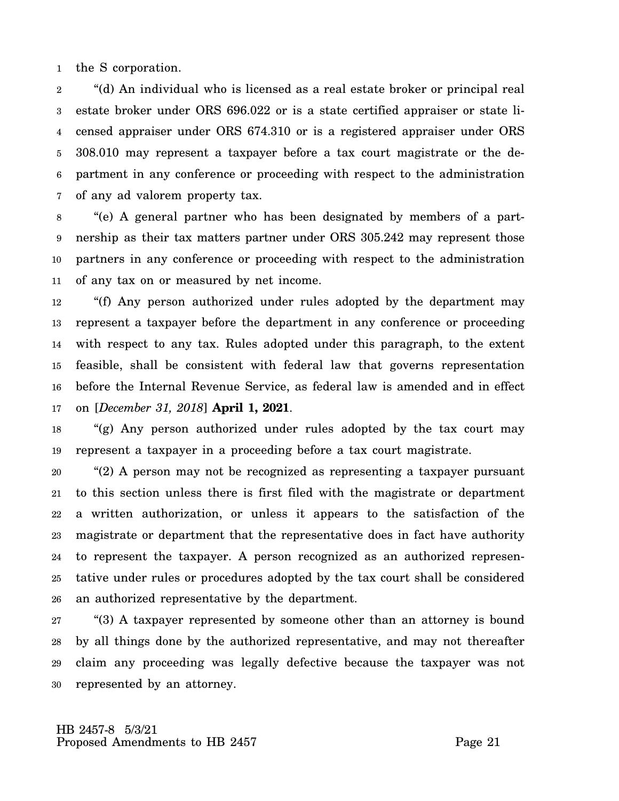1 the S corporation.

2 3 4 5 6 7 "(d) An individual who is licensed as a real estate broker or principal real estate broker under ORS 696.022 or is a state certified appraiser or state licensed appraiser under ORS 674.310 or is a registered appraiser under ORS 308.010 may represent a taxpayer before a tax court magistrate or the department in any conference or proceeding with respect to the administration of any ad valorem property tax.

8 9 10 11 "(e) A general partner who has been designated by members of a partnership as their tax matters partner under ORS 305.242 may represent those partners in any conference or proceeding with respect to the administration of any tax on or measured by net income.

12 13 14 15 16 17 "(f) Any person authorized under rules adopted by the department may represent a taxpayer before the department in any conference or proceeding with respect to any tax. Rules adopted under this paragraph, to the extent feasible, shall be consistent with federal law that governs representation before the Internal Revenue Service, as federal law is amended and in effect on [*December 31, 2018*] **April 1, 2021**.

18 19 "(g) Any person authorized under rules adopted by the tax court may represent a taxpayer in a proceeding before a tax court magistrate.

20 21 22 23 24 25 26 "(2) A person may not be recognized as representing a taxpayer pursuant to this section unless there is first filed with the magistrate or department a written authorization, or unless it appears to the satisfaction of the magistrate or department that the representative does in fact have authority to represent the taxpayer. A person recognized as an authorized representative under rules or procedures adopted by the tax court shall be considered an authorized representative by the department.

27 28 29 30 "(3) A taxpayer represented by someone other than an attorney is bound by all things done by the authorized representative, and may not thereafter claim any proceeding was legally defective because the taxpayer was not represented by an attorney.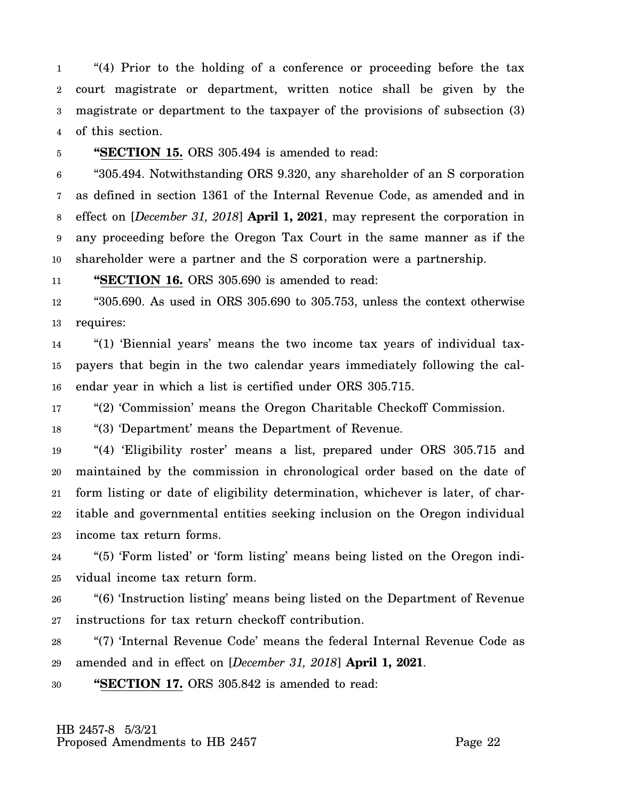1 2 3 4 "(4) Prior to the holding of a conference or proceeding before the tax court magistrate or department, written notice shall be given by the magistrate or department to the taxpayer of the provisions of subsection (3) of this section.

5

**"SECTION 15.** ORS 305.494 is amended to read:

6 7 8 9 10 "305.494. Notwithstanding ORS 9.320, any shareholder of an S corporation as defined in section 1361 of the Internal Revenue Code, as amended and in effect on [*December 31, 2018*] **April 1, 2021**, may represent the corporation in any proceeding before the Oregon Tax Court in the same manner as if the shareholder were a partner and the S corporation were a partnership.

11 **"SECTION 16.** ORS 305.690 is amended to read:

12 13 "305.690. As used in ORS 305.690 to 305.753, unless the context otherwise requires:

14 15 16 "(1) 'Biennial years' means the two income tax years of individual taxpayers that begin in the two calendar years immediately following the calendar year in which a list is certified under ORS 305.715.

17 "(2) 'Commission' means the Oregon Charitable Checkoff Commission.

18 "(3) 'Department' means the Department of Revenue.

19 20 21 22 23 "(4) 'Eligibility roster' means a list, prepared under ORS 305.715 and maintained by the commission in chronological order based on the date of form listing or date of eligibility determination, whichever is later, of charitable and governmental entities seeking inclusion on the Oregon individual income tax return forms.

24 25 "(5) 'Form listed' or 'form listing' means being listed on the Oregon individual income tax return form.

26 27 "(6) 'Instruction listing' means being listed on the Department of Revenue instructions for tax return checkoff contribution.

28 29 "(7) 'Internal Revenue Code' means the federal Internal Revenue Code as amended and in effect on [*December 31, 2018*] **April 1, 2021**.

30 **"SECTION 17.** ORS 305.842 is amended to read: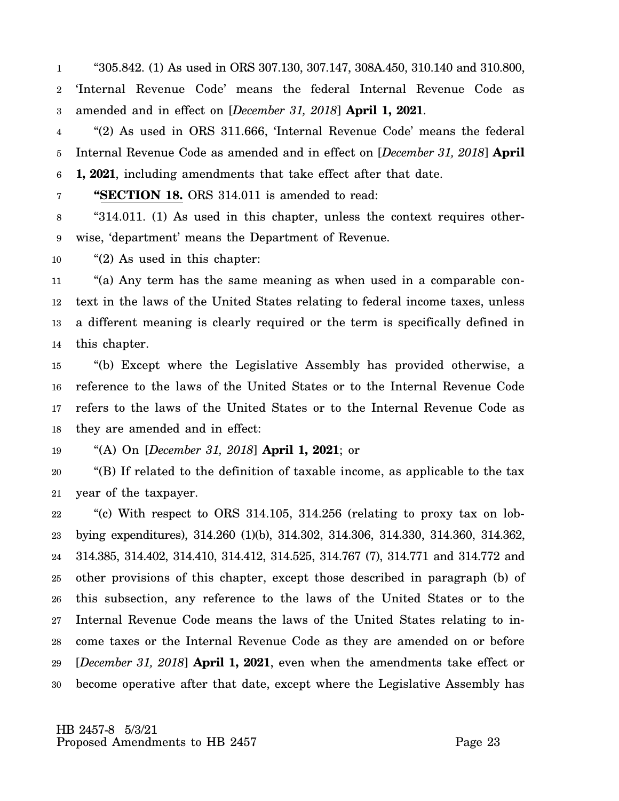1 2 3 "305.842. (1) As used in ORS 307.130, 307.147, 308A.450, 310.140 and 310.800, 'Internal Revenue Code' means the federal Internal Revenue Code as amended and in effect on [*December 31, 2018*] **April 1, 2021**.

4 5 6 "(2) As used in ORS 311.666, 'Internal Revenue Code' means the federal Internal Revenue Code as amended and in effect on [*December 31, 2018*] **April 1, 2021**, including amendments that take effect after that date.

7

**"SECTION 18.** ORS 314.011 is amended to read:

8 9 "314.011. (1) As used in this chapter, unless the context requires otherwise, 'department' means the Department of Revenue.

10 "(2) As used in this chapter:

11 12 13 14 "(a) Any term has the same meaning as when used in a comparable context in the laws of the United States relating to federal income taxes, unless a different meaning is clearly required or the term is specifically defined in this chapter.

15 16 17 18 "(b) Except where the Legislative Assembly has provided otherwise, a reference to the laws of the United States or to the Internal Revenue Code refers to the laws of the United States or to the Internal Revenue Code as they are amended and in effect:

19 "(A) On [*December 31, 2018*] **April 1, 2021**; or

20 21 "(B) If related to the definition of taxable income, as applicable to the tax year of the taxpayer.

22 23 24 25 26 27 28 29 30 "(c) With respect to ORS 314.105, 314.256 (relating to proxy tax on lobbying expenditures), 314.260 (1)(b), 314.302, 314.306, 314.330, 314.360, 314.362, 314.385, 314.402, 314.410, 314.412, 314.525, 314.767 (7), 314.771 and 314.772 and other provisions of this chapter, except those described in paragraph (b) of this subsection, any reference to the laws of the United States or to the Internal Revenue Code means the laws of the United States relating to income taxes or the Internal Revenue Code as they are amended on or before [*December 31, 2018*] **April 1, 2021**, even when the amendments take effect or become operative after that date, except where the Legislative Assembly has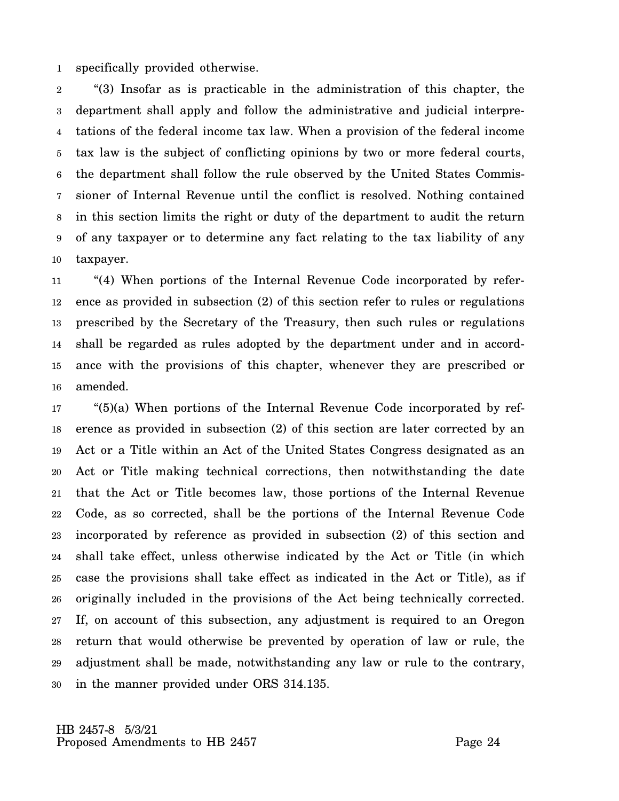1 specifically provided otherwise.

2 3 4 5 6 7 8 9 10 "(3) Insofar as is practicable in the administration of this chapter, the department shall apply and follow the administrative and judicial interpretations of the federal income tax law. When a provision of the federal income tax law is the subject of conflicting opinions by two or more federal courts, the department shall follow the rule observed by the United States Commissioner of Internal Revenue until the conflict is resolved. Nothing contained in this section limits the right or duty of the department to audit the return of any taxpayer or to determine any fact relating to the tax liability of any taxpayer.

11 12 13 14 15 16 "(4) When portions of the Internal Revenue Code incorporated by reference as provided in subsection (2) of this section refer to rules or regulations prescribed by the Secretary of the Treasury, then such rules or regulations shall be regarded as rules adopted by the department under and in accordance with the provisions of this chapter, whenever they are prescribed or amended.

17 18 19 20 21 22 23 24 25 26 27 28 29 30 "(5)(a) When portions of the Internal Revenue Code incorporated by reference as provided in subsection (2) of this section are later corrected by an Act or a Title within an Act of the United States Congress designated as an Act or Title making technical corrections, then notwithstanding the date that the Act or Title becomes law, those portions of the Internal Revenue Code, as so corrected, shall be the portions of the Internal Revenue Code incorporated by reference as provided in subsection (2) of this section and shall take effect, unless otherwise indicated by the Act or Title (in which case the provisions shall take effect as indicated in the Act or Title), as if originally included in the provisions of the Act being technically corrected. If, on account of this subsection, any adjustment is required to an Oregon return that would otherwise be prevented by operation of law or rule, the adjustment shall be made, notwithstanding any law or rule to the contrary, in the manner provided under ORS 314.135.

 HB 2457-8 5/3/21 Proposed Amendments to HB 2457 Proposed Amendments to HB 2457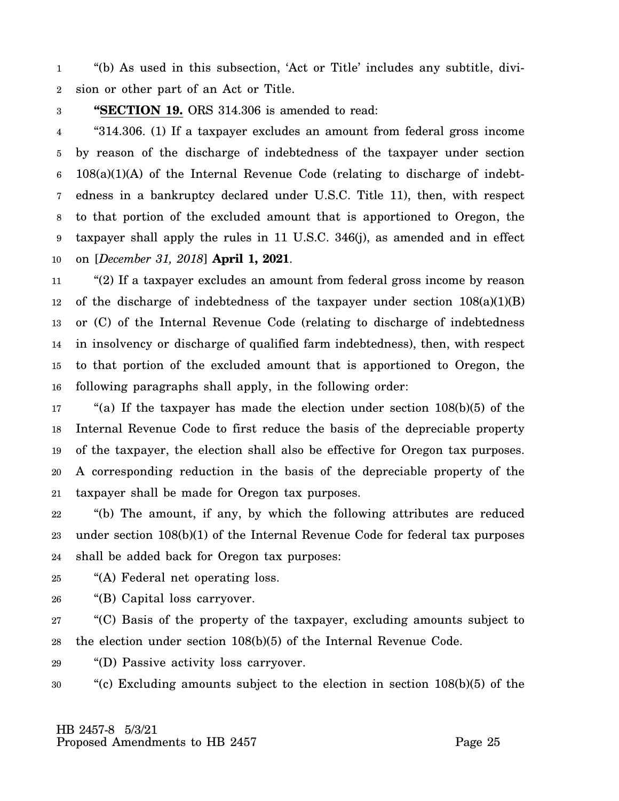1 2 "(b) As used in this subsection, 'Act or Title' includes any subtitle, division or other part of an Act or Title.

3 **"SECTION 19.** ORS 314.306 is amended to read:

4 5 6 7 8 9 10 "314.306. (1) If a taxpayer excludes an amount from federal gross income by reason of the discharge of indebtedness of the taxpayer under section  $108(a)(1)(A)$  of the Internal Revenue Code (relating to discharge of indebtedness in a bankruptcy declared under U.S.C. Title 11), then, with respect to that portion of the excluded amount that is apportioned to Oregon, the taxpayer shall apply the rules in 11 U.S.C. 346(j), as amended and in effect on [*December 31, 2018*] **April 1, 2021**.

11 12 13 14 15 16 "(2) If a taxpayer excludes an amount from federal gross income by reason of the discharge of indebtedness of the taxpayer under section 108(a)(1)(B) or (C) of the Internal Revenue Code (relating to discharge of indebtedness in insolvency or discharge of qualified farm indebtedness), then, with respect to that portion of the excluded amount that is apportioned to Oregon, the following paragraphs shall apply, in the following order:

17 18 19 20 21 "(a) If the taxpayer has made the election under section  $108(b)(5)$  of the Internal Revenue Code to first reduce the basis of the depreciable property of the taxpayer, the election shall also be effective for Oregon tax purposes. A corresponding reduction in the basis of the depreciable property of the taxpayer shall be made for Oregon tax purposes.

22 23 24 "(b) The amount, if any, by which the following attributes are reduced under section 108(b)(1) of the Internal Revenue Code for federal tax purposes shall be added back for Oregon tax purposes:

- 25 "(A) Federal net operating loss.
- 26 "(B) Capital loss carryover.

27 28 "(C) Basis of the property of the taxpayer, excluding amounts subject to the election under section 108(b)(5) of the Internal Revenue Code.

29 "(D) Passive activity loss carryover.

30 "(c) Excluding amounts subject to the election in section 108(b)(5) of the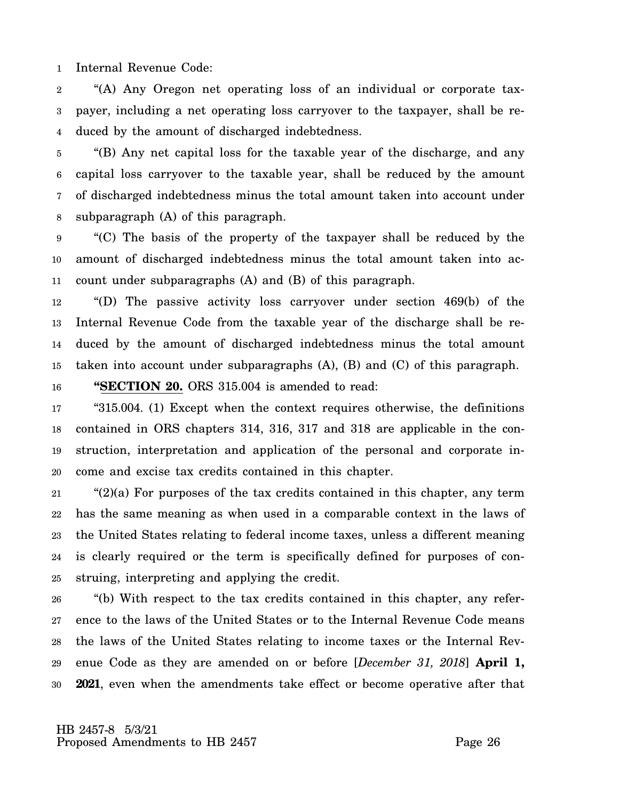1 Internal Revenue Code:

2 3 4 "(A) Any Oregon net operating loss of an individual or corporate taxpayer, including a net operating loss carryover to the taxpayer, shall be reduced by the amount of discharged indebtedness.

5 6 7 8 "(B) Any net capital loss for the taxable year of the discharge, and any capital loss carryover to the taxable year, shall be reduced by the amount of discharged indebtedness minus the total amount taken into account under subparagraph (A) of this paragraph.

9 10 11 "(C) The basis of the property of the taxpayer shall be reduced by the amount of discharged indebtedness minus the total amount taken into account under subparagraphs (A) and (B) of this paragraph.

12 13 14 15 "(D) The passive activity loss carryover under section 469(b) of the Internal Revenue Code from the taxable year of the discharge shall be reduced by the amount of discharged indebtedness minus the total amount taken into account under subparagraphs (A), (B) and (C) of this paragraph.

16 **"SECTION 20.** ORS 315.004 is amended to read:

17 18 19 20 "315.004. (1) Except when the context requires otherwise, the definitions contained in ORS chapters 314, 316, 317 and 318 are applicable in the construction, interpretation and application of the personal and corporate income and excise tax credits contained in this chapter.

21 22 23 24 25 " $(2)(a)$  For purposes of the tax credits contained in this chapter, any term has the same meaning as when used in a comparable context in the laws of the United States relating to federal income taxes, unless a different meaning is clearly required or the term is specifically defined for purposes of construing, interpreting and applying the credit.

26 27 28 29 30 "(b) With respect to the tax credits contained in this chapter, any reference to the laws of the United States or to the Internal Revenue Code means the laws of the United States relating to income taxes or the Internal Revenue Code as they are amended on or before [*December 31, 2018*] **April 1, 2021**, even when the amendments take effect or become operative after that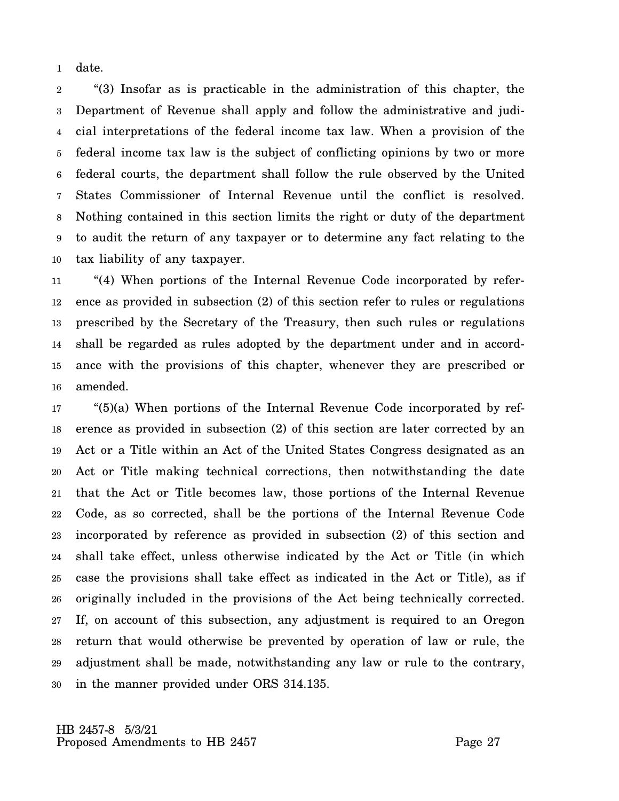1 date.

2 3 4 5 6 7 8 9 10 "(3) Insofar as is practicable in the administration of this chapter, the Department of Revenue shall apply and follow the administrative and judicial interpretations of the federal income tax law. When a provision of the federal income tax law is the subject of conflicting opinions by two or more federal courts, the department shall follow the rule observed by the United States Commissioner of Internal Revenue until the conflict is resolved. Nothing contained in this section limits the right or duty of the department to audit the return of any taxpayer or to determine any fact relating to the tax liability of any taxpayer.

11 12 13 14 15 16 "(4) When portions of the Internal Revenue Code incorporated by reference as provided in subsection (2) of this section refer to rules or regulations prescribed by the Secretary of the Treasury, then such rules or regulations shall be regarded as rules adopted by the department under and in accordance with the provisions of this chapter, whenever they are prescribed or amended.

17 18 19 20 21 22 23 24 25 26 27 28 29 30 "(5)(a) When portions of the Internal Revenue Code incorporated by reference as provided in subsection (2) of this section are later corrected by an Act or a Title within an Act of the United States Congress designated as an Act or Title making technical corrections, then notwithstanding the date that the Act or Title becomes law, those portions of the Internal Revenue Code, as so corrected, shall be the portions of the Internal Revenue Code incorporated by reference as provided in subsection (2) of this section and shall take effect, unless otherwise indicated by the Act or Title (in which case the provisions shall take effect as indicated in the Act or Title), as if originally included in the provisions of the Act being technically corrected. If, on account of this subsection, any adjustment is required to an Oregon return that would otherwise be prevented by operation of law or rule, the adjustment shall be made, notwithstanding any law or rule to the contrary, in the manner provided under ORS 314.135.

 HB 2457-8 5/3/21 Proposed Amendments to HB 2457 Proposed Amendments to HB 2457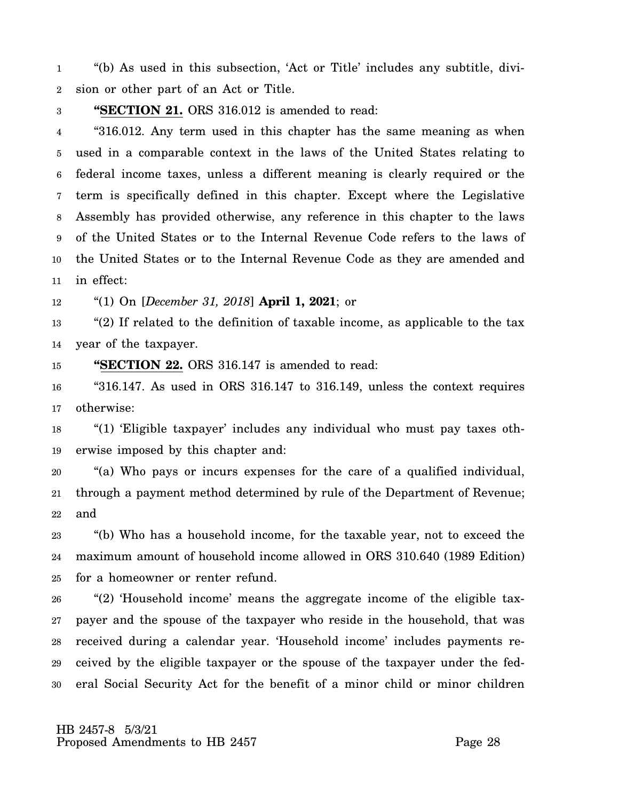1 2 "(b) As used in this subsection, 'Act or Title' includes any subtitle, division or other part of an Act or Title.

#### 3 **"SECTION 21.** ORS 316.012 is amended to read:

4 5 6 7 8 9 10 11 "316.012. Any term used in this chapter has the same meaning as when used in a comparable context in the laws of the United States relating to federal income taxes, unless a different meaning is clearly required or the term is specifically defined in this chapter. Except where the Legislative Assembly has provided otherwise, any reference in this chapter to the laws of the United States or to the Internal Revenue Code refers to the laws of the United States or to the Internal Revenue Code as they are amended and in effect:

12 "(1) On [*December 31, 2018*] **April 1, 2021**; or

13 14 "(2) If related to the definition of taxable income, as applicable to the tax year of the taxpayer.

15 **"SECTION 22.** ORS 316.147 is amended to read:

16 17 "316.147. As used in ORS 316.147 to 316.149, unless the context requires otherwise:

18 19 "(1) 'Eligible taxpayer' includes any individual who must pay taxes otherwise imposed by this chapter and:

20 21 22 "(a) Who pays or incurs expenses for the care of a qualified individual, through a payment method determined by rule of the Department of Revenue; and

23 24 25 "(b) Who has a household income, for the taxable year, not to exceed the maximum amount of household income allowed in ORS 310.640 (1989 Edition) for a homeowner or renter refund.

26 27 28 29 30 "(2) 'Household income' means the aggregate income of the eligible taxpayer and the spouse of the taxpayer who reside in the household, that was received during a calendar year. 'Household income' includes payments received by the eligible taxpayer or the spouse of the taxpayer under the federal Social Security Act for the benefit of a minor child or minor children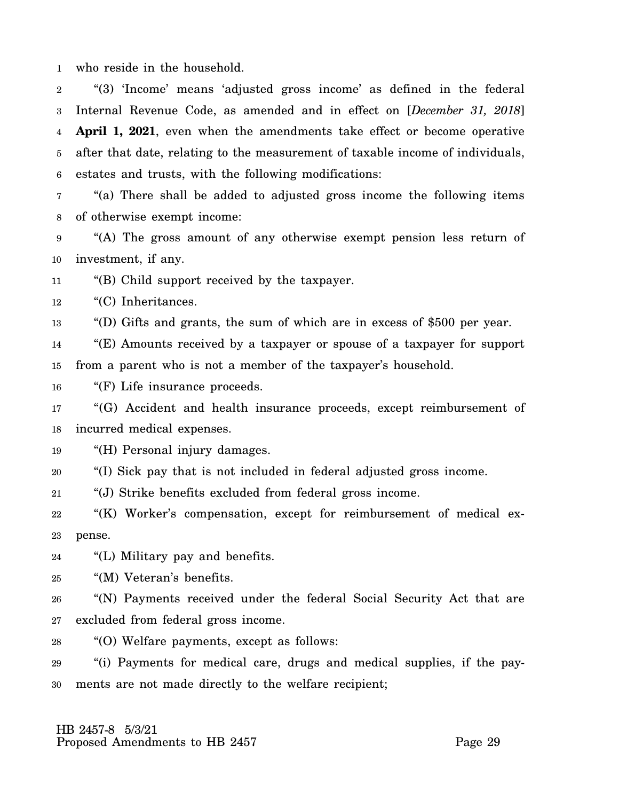1 who reside in the household.

2 3 4 5 6 "(3) 'Income' means 'adjusted gross income' as defined in the federal Internal Revenue Code, as amended and in effect on [*December 31, 2018*] **April 1, 2021**, even when the amendments take effect or become operative after that date, relating to the measurement of taxable income of individuals, estates and trusts, with the following modifications:

7 8 "(a) There shall be added to adjusted gross income the following items of otherwise exempt income:

9 10 "(A) The gross amount of any otherwise exempt pension less return of investment, if any.

11 "(B) Child support received by the taxpayer.

12 "(C) Inheritances.

13 "(D) Gifts and grants, the sum of which are in excess of \$500 per year.

14 15 "(E) Amounts received by a taxpayer or spouse of a taxpayer for support from a parent who is not a member of the taxpayer's household.

16 "(F) Life insurance proceeds.

17 18 "(G) Accident and health insurance proceeds, except reimbursement of incurred medical expenses.

19 "(H) Personal injury damages.

20 "(I) Sick pay that is not included in federal adjusted gross income.

21 "(J) Strike benefits excluded from federal gross income.

22 23 "(K) Worker's compensation, except for reimbursement of medical expense.

24 "(L) Military pay and benefits.

25 "(M) Veteran's benefits.

26 27 "(N) Payments received under the federal Social Security Act that are excluded from federal gross income.

28 "(O) Welfare payments, except as follows:

29 30 "(i) Payments for medical care, drugs and medical supplies, if the payments are not made directly to the welfare recipient;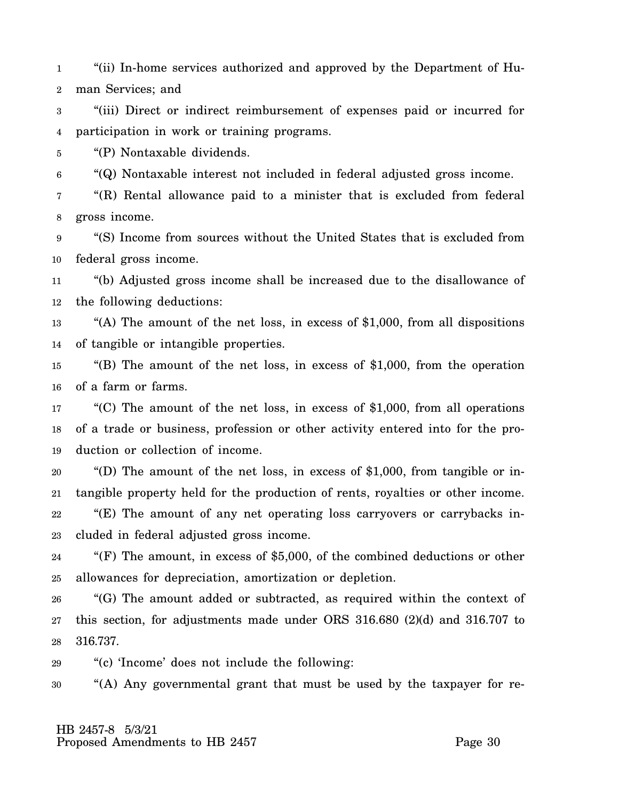1 2 "(ii) In-home services authorized and approved by the Department of Human Services; and

3 4 "(iii) Direct or indirect reimbursement of expenses paid or incurred for participation in work or training programs.

5 "(P) Nontaxable dividends.

6 "(Q) Nontaxable interest not included in federal adjusted gross income.

7 8 "(R) Rental allowance paid to a minister that is excluded from federal gross income.

9 10 "(S) Income from sources without the United States that is excluded from federal gross income.

11 12 "(b) Adjusted gross income shall be increased due to the disallowance of the following deductions:

13 14 "(A) The amount of the net loss, in excess of  $$1,000$ , from all dispositions of tangible or intangible properties.

15 16 "(B) The amount of the net loss, in excess of \$1,000, from the operation of a farm or farms.

17 18 19 "(C) The amount of the net loss, in excess of \$1,000, from all operations of a trade or business, profession or other activity entered into for the production or collection of income.

20 21 22 23 "(D) The amount of the net loss, in excess of \$1,000, from tangible or intangible property held for the production of rents, royalties or other income. "(E) The amount of any net operating loss carryovers or carrybacks included in federal adjusted gross income.

24 25 "(F) The amount, in excess of \$5,000, of the combined deductions or other allowances for depreciation, amortization or depletion.

26 27 28 "(G) The amount added or subtracted, as required within the context of this section, for adjustments made under ORS 316.680 (2)(d) and 316.707 to 316.737.

29 "(c) 'Income' does not include the following:

30 "(A) Any governmental grant that must be used by the taxpayer for re-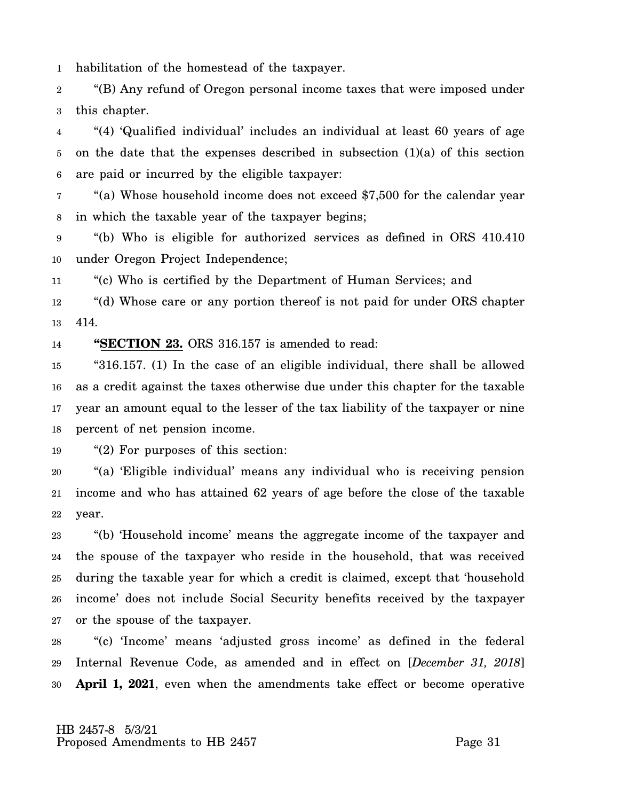1 habilitation of the homestead of the taxpayer.

2 3 "(B) Any refund of Oregon personal income taxes that were imposed under this chapter.

4 5 6 "(4) 'Qualified individual' includes an individual at least 60 years of age on the date that the expenses described in subsection  $(1)(a)$  of this section are paid or incurred by the eligible taxpayer:

7 8 "(a) Whose household income does not exceed \$7,500 for the calendar year in which the taxable year of the taxpayer begins;

9 10 "(b) Who is eligible for authorized services as defined in ORS 410.410 under Oregon Project Independence;

11 "(c) Who is certified by the Department of Human Services; and

12 13 "(d) Whose care or any portion thereof is not paid for under ORS chapter 414.

14 **"SECTION 23.** ORS 316.157 is amended to read:

15 16 17 18 "316.157. (1) In the case of an eligible individual, there shall be allowed as a credit against the taxes otherwise due under this chapter for the taxable year an amount equal to the lesser of the tax liability of the taxpayer or nine percent of net pension income.

19 "(2) For purposes of this section:

20 21 22 "(a) 'Eligible individual' means any individual who is receiving pension income and who has attained 62 years of age before the close of the taxable year.

23 24 25 26 27 "(b) 'Household income' means the aggregate income of the taxpayer and the spouse of the taxpayer who reside in the household, that was received during the taxable year for which a credit is claimed, except that 'household income' does not include Social Security benefits received by the taxpayer or the spouse of the taxpayer.

28 29 30 "(c) 'Income' means 'adjusted gross income' as defined in the federal Internal Revenue Code, as amended and in effect on [*December 31, 2018*] **April 1, 2021**, even when the amendments take effect or become operative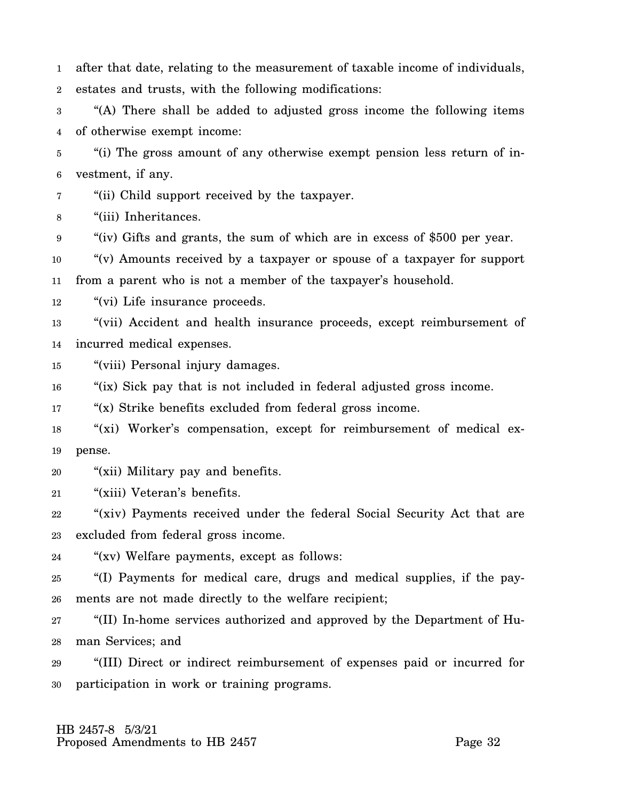1 2 after that date, relating to the measurement of taxable income of individuals, estates and trusts, with the following modifications:

3 4 "(A) There shall be added to adjusted gross income the following items of otherwise exempt income:

5 6 "(i) The gross amount of any otherwise exempt pension less return of investment, if any.

7 "(ii) Child support received by the taxpayer.

8 "(iii) Inheritances.

9 "(iv) Gifts and grants, the sum of which are in excess of \$500 per year.

10 11 "(v) Amounts received by a taxpayer or spouse of a taxpayer for support from a parent who is not a member of the taxpayer's household.

12 "(vi) Life insurance proceeds.

13 14 "(vii) Accident and health insurance proceeds, except reimbursement of incurred medical expenses.

15 "(viii) Personal injury damages.

16 "(ix) Sick pay that is not included in federal adjusted gross income.

17 "(x) Strike benefits excluded from federal gross income.

18 19 "(xi) Worker's compensation, except for reimbursement of medical expense.

20 "(xii) Military pay and benefits.

21 "(xiii) Veteran's benefits.

22 23 "(xiv) Payments received under the federal Social Security Act that are excluded from federal gross income.

24 "(xv) Welfare payments, except as follows:

25 26 "(I) Payments for medical care, drugs and medical supplies, if the payments are not made directly to the welfare recipient;

27 28 "(II) In-home services authorized and approved by the Department of Human Services; and

29 30 "(III) Direct or indirect reimbursement of expenses paid or incurred for participation in work or training programs.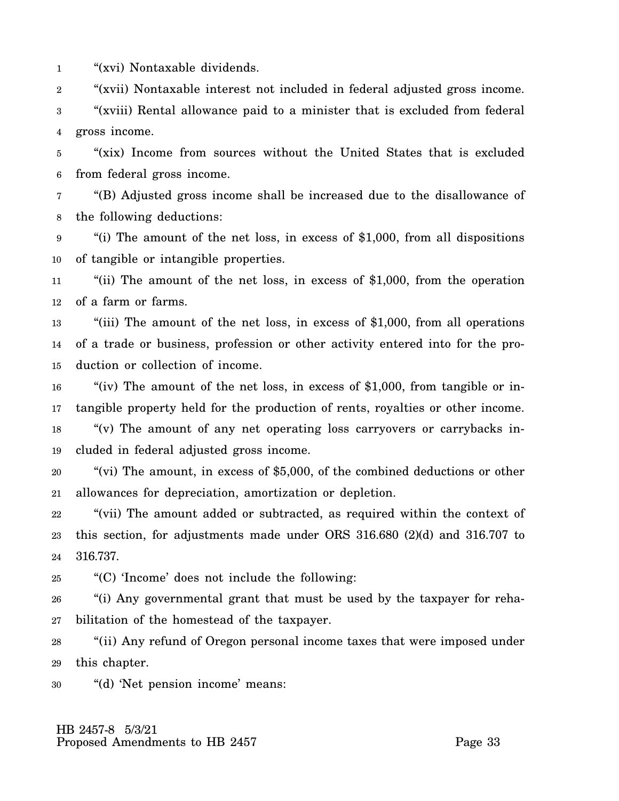1 "(xvi) Nontaxable dividends.

2 "(xvii) Nontaxable interest not included in federal adjusted gross income.

3 4 "(xviii) Rental allowance paid to a minister that is excluded from federal gross income.

5 6 "(xix) Income from sources without the United States that is excluded from federal gross income.

7 8 "(B) Adjusted gross income shall be increased due to the disallowance of the following deductions:

9 10 "(i) The amount of the net loss, in excess of \$1,000, from all dispositions of tangible or intangible properties.

11 12 "(ii) The amount of the net loss, in excess of \$1,000, from the operation of a farm or farms.

13 14 15 "(iii) The amount of the net loss, in excess of \$1,000, from all operations of a trade or business, profession or other activity entered into for the production or collection of income.

16 17 "(iv) The amount of the net loss, in excess of  $$1,000$ , from tangible or intangible property held for the production of rents, royalties or other income.

18 19 "(v) The amount of any net operating loss carryovers or carrybacks included in federal adjusted gross income.

20 21 "(vi) The amount, in excess of \$5,000, of the combined deductions or other allowances for depreciation, amortization or depletion.

22 23 24 "(vii) The amount added or subtracted, as required within the context of this section, for adjustments made under ORS 316.680 (2)(d) and 316.707 to 316.737.

25 "(C) 'Income' does not include the following:

26 27 "(i) Any governmental grant that must be used by the taxpayer for rehabilitation of the homestead of the taxpayer.

28 29 "(ii) Any refund of Oregon personal income taxes that were imposed under this chapter.

30 "(d) 'Net pension income' means: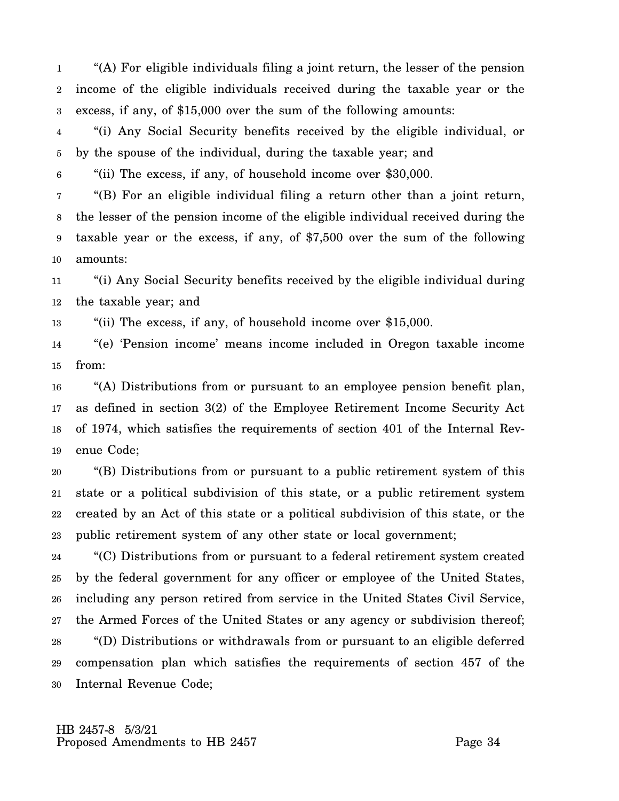1 2 3 "(A) For eligible individuals filing a joint return, the lesser of the pension income of the eligible individuals received during the taxable year or the excess, if any, of \$15,000 over the sum of the following amounts:

4 5 "(i) Any Social Security benefits received by the eligible individual, or by the spouse of the individual, during the taxable year; and

6 "(ii) The excess, if any, of household income over \$30,000.

7 8 9 10 "(B) For an eligible individual filing a return other than a joint return, the lesser of the pension income of the eligible individual received during the taxable year or the excess, if any, of \$7,500 over the sum of the following amounts:

11 12 "(i) Any Social Security benefits received by the eligible individual during the taxable year; and

13 "(ii) The excess, if any, of household income over \$15,000.

14 15 "(e) 'Pension income' means income included in Oregon taxable income from:

16 17 18 19 "(A) Distributions from or pursuant to an employee pension benefit plan, as defined in section 3(2) of the Employee Retirement Income Security Act of 1974, which satisfies the requirements of section 401 of the Internal Revenue Code;

20 21 22 23 "(B) Distributions from or pursuant to a public retirement system of this state or a political subdivision of this state, or a public retirement system created by an Act of this state or a political subdivision of this state, or the public retirement system of any other state or local government;

24 25 26 27 28 29 30 "(C) Distributions from or pursuant to a federal retirement system created by the federal government for any officer or employee of the United States, including any person retired from service in the United States Civil Service, the Armed Forces of the United States or any agency or subdivision thereof; "(D) Distributions or withdrawals from or pursuant to an eligible deferred compensation plan which satisfies the requirements of section 457 of the Internal Revenue Code;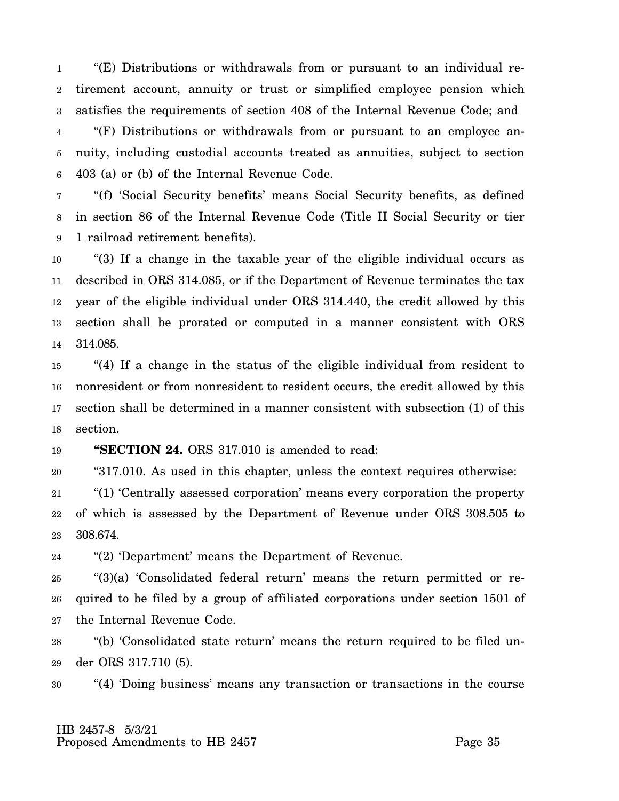1 2 3 4 5 6 "(E) Distributions or withdrawals from or pursuant to an individual retirement account, annuity or trust or simplified employee pension which satisfies the requirements of section 408 of the Internal Revenue Code; and "(F) Distributions or withdrawals from or pursuant to an employee annuity, including custodial accounts treated as annuities, subject to section 403 (a) or (b) of the Internal Revenue Code.

7 8 9 "(f) 'Social Security benefits' means Social Security benefits, as defined in section 86 of the Internal Revenue Code (Title II Social Security or tier 1 railroad retirement benefits).

10 11 12 13 14 "(3) If a change in the taxable year of the eligible individual occurs as described in ORS 314.085, or if the Department of Revenue terminates the tax year of the eligible individual under ORS 314.440, the credit allowed by this section shall be prorated or computed in a manner consistent with ORS 314.085.

15 16 17 18 "(4) If a change in the status of the eligible individual from resident to nonresident or from nonresident to resident occurs, the credit allowed by this section shall be determined in a manner consistent with subsection (1) of this section.

19 **"SECTION 24.** ORS 317.010 is amended to read:

20 "317.010. As used in this chapter, unless the context requires otherwise:

21 22 23 "(1) 'Centrally assessed corporation' means every corporation the property of which is assessed by the Department of Revenue under ORS 308.505 to 308.674.

24 "(2) 'Department' means the Department of Revenue.

25 26 27 "(3)(a) 'Consolidated federal return' means the return permitted or required to be filed by a group of affiliated corporations under section 1501 of the Internal Revenue Code.

28 29 "(b) 'Consolidated state return' means the return required to be filed under ORS 317.710 (5).

30 "(4) 'Doing business' means any transaction or transactions in the course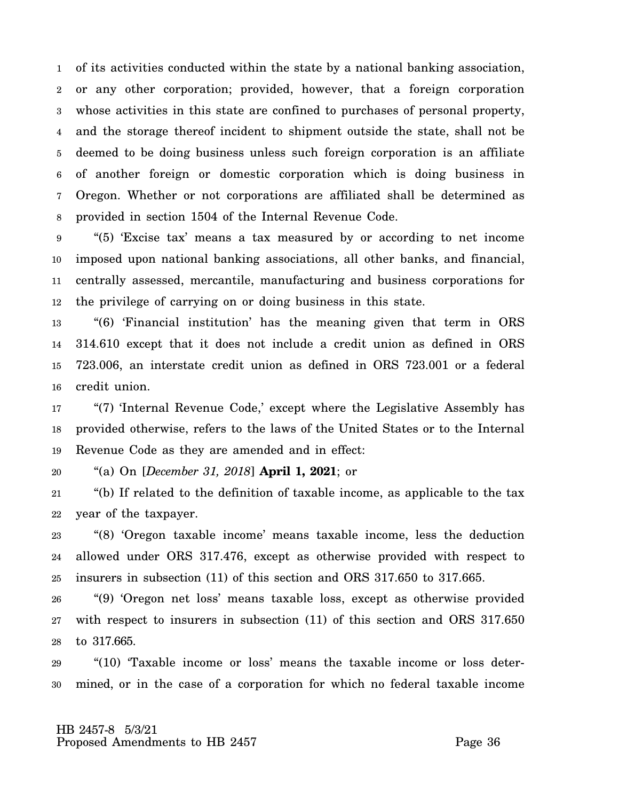1 2 3 4 5 6 7 8 of its activities conducted within the state by a national banking association, or any other corporation; provided, however, that a foreign corporation whose activities in this state are confined to purchases of personal property, and the storage thereof incident to shipment outside the state, shall not be deemed to be doing business unless such foreign corporation is an affiliate of another foreign or domestic corporation which is doing business in Oregon. Whether or not corporations are affiliated shall be determined as provided in section 1504 of the Internal Revenue Code.

9 10 11 12 "(5) 'Excise tax' means a tax measured by or according to net income imposed upon national banking associations, all other banks, and financial, centrally assessed, mercantile, manufacturing and business corporations for the privilege of carrying on or doing business in this state.

13 14 15 16 "(6) 'Financial institution' has the meaning given that term in ORS 314.610 except that it does not include a credit union as defined in ORS 723.006, an interstate credit union as defined in ORS 723.001 or a federal credit union.

17 18 19 "(7) 'Internal Revenue Code,' except where the Legislative Assembly has provided otherwise, refers to the laws of the United States or to the Internal Revenue Code as they are amended and in effect:

20 "(a) On [*December 31, 2018*] **April 1, 2021**; or

21 22 "(b) If related to the definition of taxable income, as applicable to the tax year of the taxpayer.

23 24 25 "(8) 'Oregon taxable income' means taxable income, less the deduction allowed under ORS 317.476, except as otherwise provided with respect to insurers in subsection (11) of this section and ORS 317.650 to 317.665.

26 27 28 "(9) 'Oregon net loss' means taxable loss, except as otherwise provided with respect to insurers in subsection  $(11)$  of this section and ORS 317.650 to 317.665.

29 30 "(10) 'Taxable income or loss' means the taxable income or loss determined, or in the case of a corporation for which no federal taxable income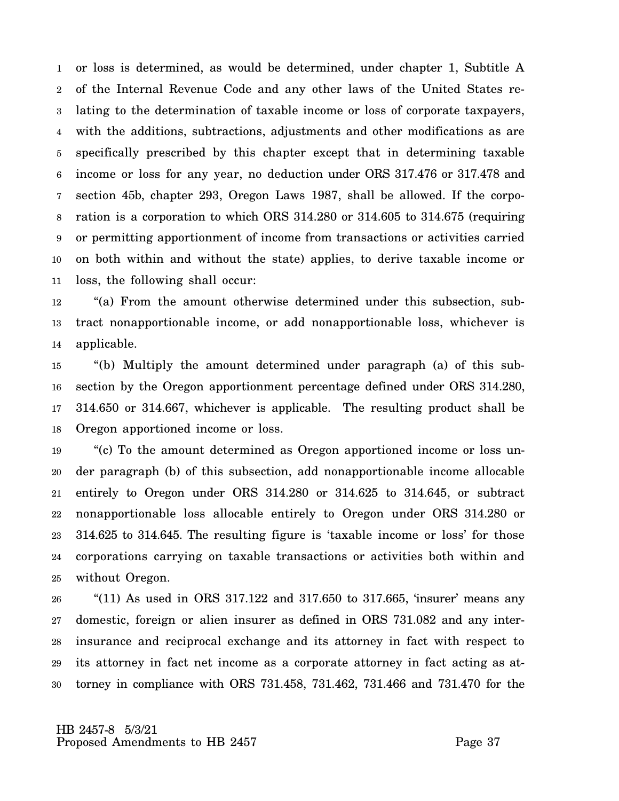1 2 3 4 5 6 7 8 9 10 11 or loss is determined, as would be determined, under chapter 1, Subtitle A of the Internal Revenue Code and any other laws of the United States relating to the determination of taxable income or loss of corporate taxpayers, with the additions, subtractions, adjustments and other modifications as are specifically prescribed by this chapter except that in determining taxable income or loss for any year, no deduction under ORS 317.476 or 317.478 and section 45b, chapter 293, Oregon Laws 1987, shall be allowed. If the corporation is a corporation to which ORS 314.280 or 314.605 to 314.675 (requiring or permitting apportionment of income from transactions or activities carried on both within and without the state) applies, to derive taxable income or loss, the following shall occur:

12 13 14 "(a) From the amount otherwise determined under this subsection, subtract nonapportionable income, or add nonapportionable loss, whichever is applicable.

15 16 17 18 "(b) Multiply the amount determined under paragraph (a) of this subsection by the Oregon apportionment percentage defined under ORS 314.280, 314.650 or 314.667, whichever is applicable. The resulting product shall be Oregon apportioned income or loss.

19 20 21 22 23 24 25 "(c) To the amount determined as Oregon apportioned income or loss under paragraph (b) of this subsection, add nonapportionable income allocable entirely to Oregon under ORS 314.280 or 314.625 to 314.645, or subtract nonapportionable loss allocable entirely to Oregon under ORS 314.280 or 314.625 to 314.645. The resulting figure is 'taxable income or loss' for those corporations carrying on taxable transactions or activities both within and without Oregon.

26 27 28 29 30 "(11) As used in ORS  $317.122$  and  $317.650$  to  $317.665$ , 'insurer' means any domestic, foreign or alien insurer as defined in ORS 731.082 and any interinsurance and reciprocal exchange and its attorney in fact with respect to its attorney in fact net income as a corporate attorney in fact acting as attorney in compliance with ORS 731.458, 731.462, 731.466 and 731.470 for the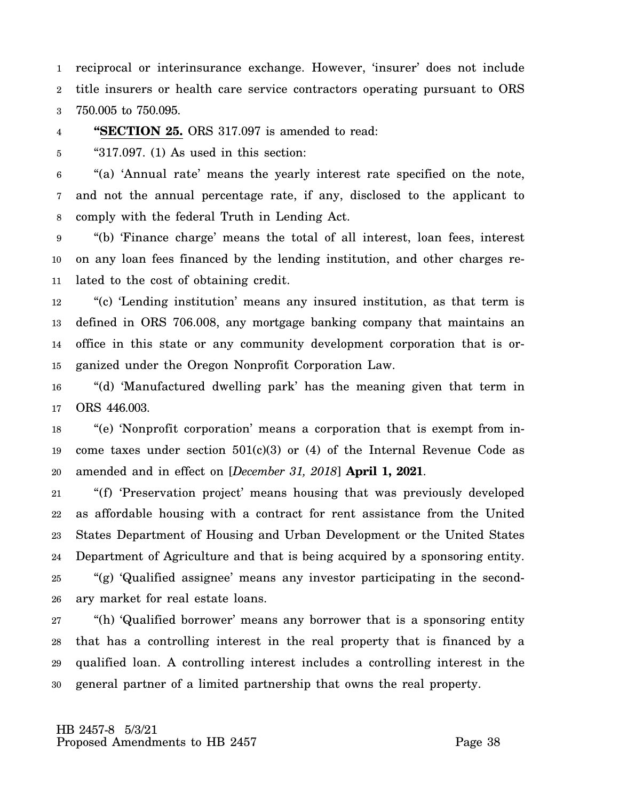1 2 3 reciprocal or interinsurance exchange. However, 'insurer' does not include title insurers or health care service contractors operating pursuant to ORS 750.005 to 750.095.

4 **"SECTION 25.** ORS 317.097 is amended to read:

5 " $317.097$ . (1) As used in this section:

6 7 8 "(a) 'Annual rate' means the yearly interest rate specified on the note, and not the annual percentage rate, if any, disclosed to the applicant to comply with the federal Truth in Lending Act.

9 10 11 "(b) 'Finance charge' means the total of all interest, loan fees, interest on any loan fees financed by the lending institution, and other charges related to the cost of obtaining credit.

12 13 14 15 "(c) 'Lending institution' means any insured institution, as that term is defined in ORS 706.008, any mortgage banking company that maintains an office in this state or any community development corporation that is organized under the Oregon Nonprofit Corporation Law.

16 17 "(d) 'Manufactured dwelling park' has the meaning given that term in ORS 446.003.

18 19 20 "(e) 'Nonprofit corporation' means a corporation that is exempt from income taxes under section  $501(c)(3)$  or  $(4)$  of the Internal Revenue Code as amended and in effect on [*December 31, 2018*] **April 1, 2021**.

21 22 23 24 25 26 "(f) 'Preservation project' means housing that was previously developed as affordable housing with a contract for rent assistance from the United States Department of Housing and Urban Development or the United States Department of Agriculture and that is being acquired by a sponsoring entity. "(g) 'Qualified assignee' means any investor participating in the secondary market for real estate loans.

27 28 29 30 "(h) 'Qualified borrower' means any borrower that is a sponsoring entity that has a controlling interest in the real property that is financed by a qualified loan. A controlling interest includes a controlling interest in the general partner of a limited partnership that owns the real property.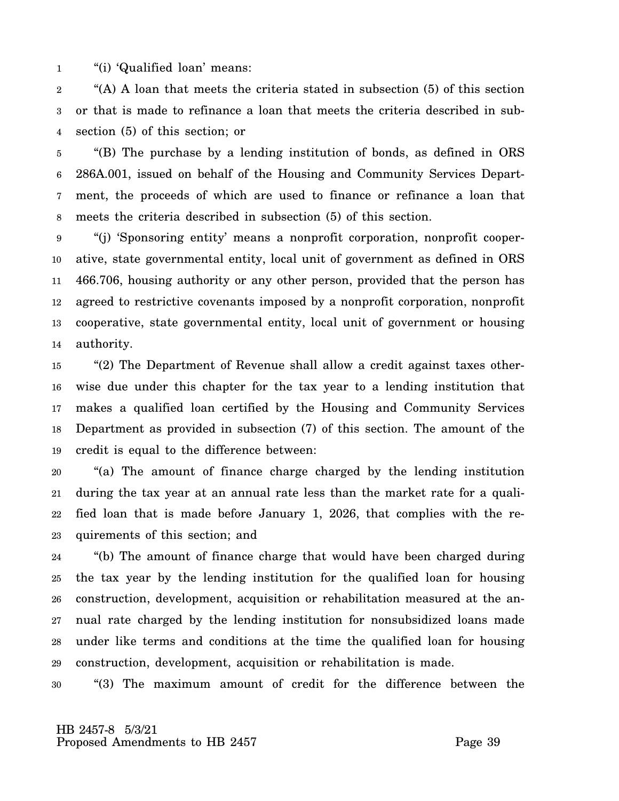1 "(i) 'Qualified loan' means:

2 3 4 "(A) A loan that meets the criteria stated in subsection (5) of this section or that is made to refinance a loan that meets the criteria described in subsection (5) of this section; or

5 6 7 8 "(B) The purchase by a lending institution of bonds, as defined in ORS 286A.001, issued on behalf of the Housing and Community Services Department, the proceeds of which are used to finance or refinance a loan that meets the criteria described in subsection (5) of this section.

9 10 11 12 13 14 "(j) 'Sponsoring entity' means a nonprofit corporation, nonprofit cooperative, state governmental entity, local unit of government as defined in ORS 466.706, housing authority or any other person, provided that the person has agreed to restrictive covenants imposed by a nonprofit corporation, nonprofit cooperative, state governmental entity, local unit of government or housing authority.

15 16 17 18 19 "(2) The Department of Revenue shall allow a credit against taxes otherwise due under this chapter for the tax year to a lending institution that makes a qualified loan certified by the Housing and Community Services Department as provided in subsection (7) of this section. The amount of the credit is equal to the difference between:

20 21 22 23 "(a) The amount of finance charge charged by the lending institution during the tax year at an annual rate less than the market rate for a qualified loan that is made before January 1, 2026, that complies with the requirements of this section; and

24 25 26 27 28 29 "(b) The amount of finance charge that would have been charged during the tax year by the lending institution for the qualified loan for housing construction, development, acquisition or rehabilitation measured at the annual rate charged by the lending institution for nonsubsidized loans made under like terms and conditions at the time the qualified loan for housing construction, development, acquisition or rehabilitation is made.

30 "(3) The maximum amount of credit for the difference between the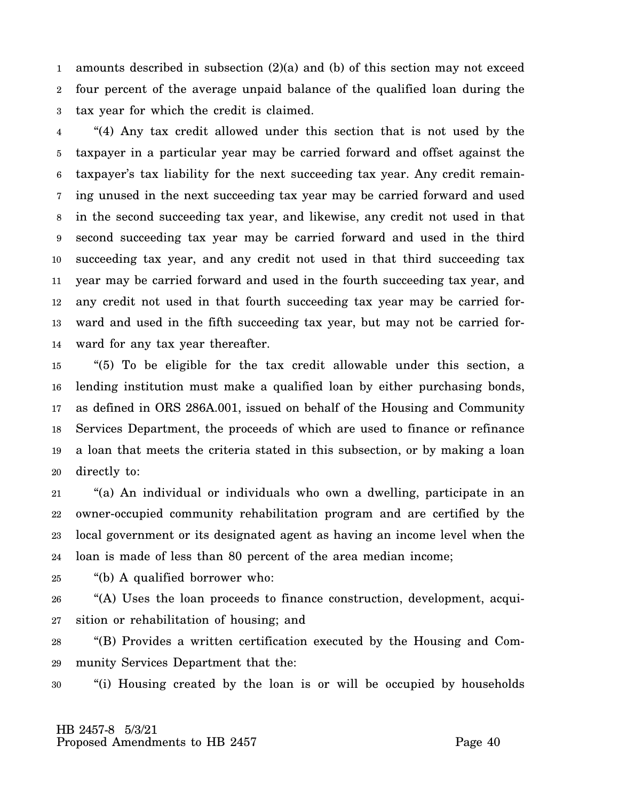1 2 3 amounts described in subsection (2)(a) and (b) of this section may not exceed four percent of the average unpaid balance of the qualified loan during the tax year for which the credit is claimed.

4 5 6 7 8 9 10 11 12 13 14 "(4) Any tax credit allowed under this section that is not used by the taxpayer in a particular year may be carried forward and offset against the taxpayer's tax liability for the next succeeding tax year. Any credit remaining unused in the next succeeding tax year may be carried forward and used in the second succeeding tax year, and likewise, any credit not used in that second succeeding tax year may be carried forward and used in the third succeeding tax year, and any credit not used in that third succeeding tax year may be carried forward and used in the fourth succeeding tax year, and any credit not used in that fourth succeeding tax year may be carried forward and used in the fifth succeeding tax year, but may not be carried forward for any tax year thereafter.

15 16 17 18 19 20 "(5) To be eligible for the tax credit allowable under this section, a lending institution must make a qualified loan by either purchasing bonds, as defined in ORS 286A.001, issued on behalf of the Housing and Community Services Department, the proceeds of which are used to finance or refinance a loan that meets the criteria stated in this subsection, or by making a loan directly to:

21 22 23 24 "(a) An individual or individuals who own a dwelling, participate in an owner-occupied community rehabilitation program and are certified by the local government or its designated agent as having an income level when the loan is made of less than 80 percent of the area median income;

25 "(b) A qualified borrower who:

26 27 "(A) Uses the loan proceeds to finance construction, development, acquisition or rehabilitation of housing; and

28 29 "(B) Provides a written certification executed by the Housing and Community Services Department that the:

30 "(i) Housing created by the loan is or will be occupied by households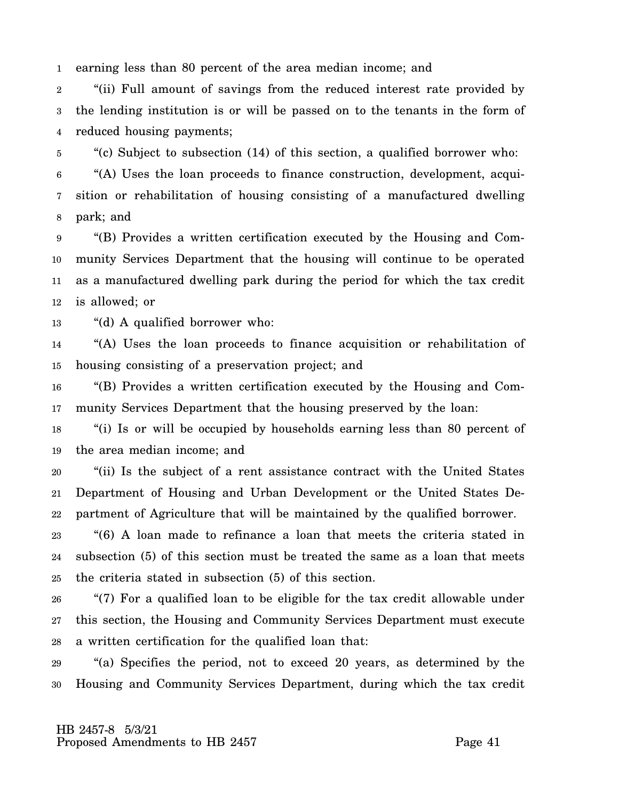1 earning less than 80 percent of the area median income; and

2 3 4 "(ii) Full amount of savings from the reduced interest rate provided by the lending institution is or will be passed on to the tenants in the form of reduced housing payments;

5 6 7 8 "(c) Subject to subsection (14) of this section, a qualified borrower who: "(A) Uses the loan proceeds to finance construction, development, acquisition or rehabilitation of housing consisting of a manufactured dwelling park; and

9 10 11 12 "(B) Provides a written certification executed by the Housing and Community Services Department that the housing will continue to be operated as a manufactured dwelling park during the period for which the tax credit is allowed; or

13 "(d) A qualified borrower who:

14 15 "(A) Uses the loan proceeds to finance acquisition or rehabilitation of housing consisting of a preservation project; and

16 17 "(B) Provides a written certification executed by the Housing and Community Services Department that the housing preserved by the loan:

18 19 "(i) Is or will be occupied by households earning less than 80 percent of the area median income; and

20 21 22 "(ii) Is the subject of a rent assistance contract with the United States Department of Housing and Urban Development or the United States Department of Agriculture that will be maintained by the qualified borrower.

23 24 25 "(6) A loan made to refinance a loan that meets the criteria stated in subsection (5) of this section must be treated the same as a loan that meets the criteria stated in subsection (5) of this section.

26 27 28 "(7) For a qualified loan to be eligible for the tax credit allowable under this section, the Housing and Community Services Department must execute a written certification for the qualified loan that:

29 30 "(a) Specifies the period, not to exceed 20 years, as determined by the Housing and Community Services Department, during which the tax credit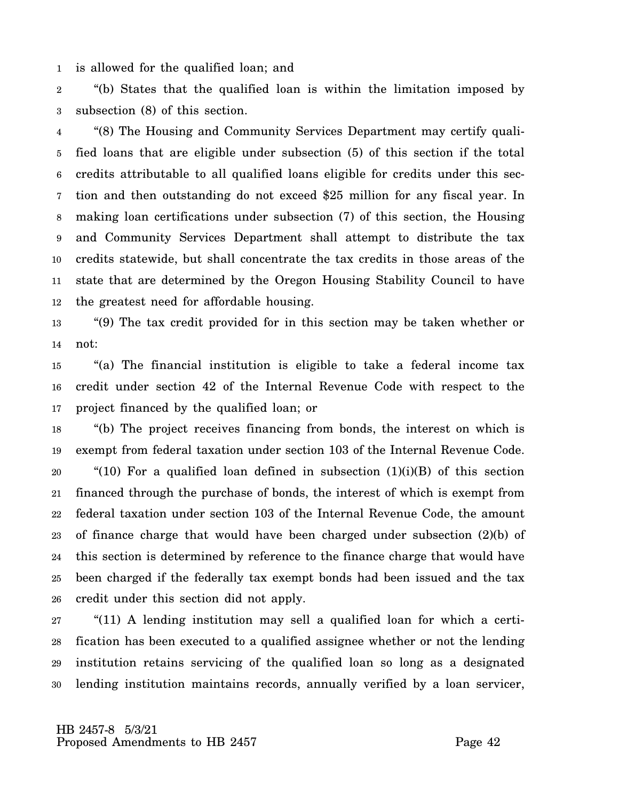1 is allowed for the qualified loan; and

2 3 "(b) States that the qualified loan is within the limitation imposed by subsection (8) of this section.

4 5 6 7 8 9 10 11 12 "(8) The Housing and Community Services Department may certify qualified loans that are eligible under subsection (5) of this section if the total credits attributable to all qualified loans eligible for credits under this section and then outstanding do not exceed \$25 million for any fiscal year. In making loan certifications under subsection (7) of this section, the Housing and Community Services Department shall attempt to distribute the tax credits statewide, but shall concentrate the tax credits in those areas of the state that are determined by the Oregon Housing Stability Council to have the greatest need for affordable housing.

13 14 "(9) The tax credit provided for in this section may be taken whether or not:

15 16 17 "(a) The financial institution is eligible to take a federal income tax credit under section 42 of the Internal Revenue Code with respect to the project financed by the qualified loan; or

18 19 20 21 22 23 24 25 26 "(b) The project receives financing from bonds, the interest on which is exempt from federal taxation under section 103 of the Internal Revenue Code. "(10) For a qualified loan defined in subsection  $(1)(i)(B)$  of this section financed through the purchase of bonds, the interest of which is exempt from federal taxation under section 103 of the Internal Revenue Code, the amount of finance charge that would have been charged under subsection (2)(b) of this section is determined by reference to the finance charge that would have been charged if the federally tax exempt bonds had been issued and the tax credit under this section did not apply.

27 28 29 30 "(11) A lending institution may sell a qualified loan for which a certification has been executed to a qualified assignee whether or not the lending institution retains servicing of the qualified loan so long as a designated lending institution maintains records, annually verified by a loan servicer,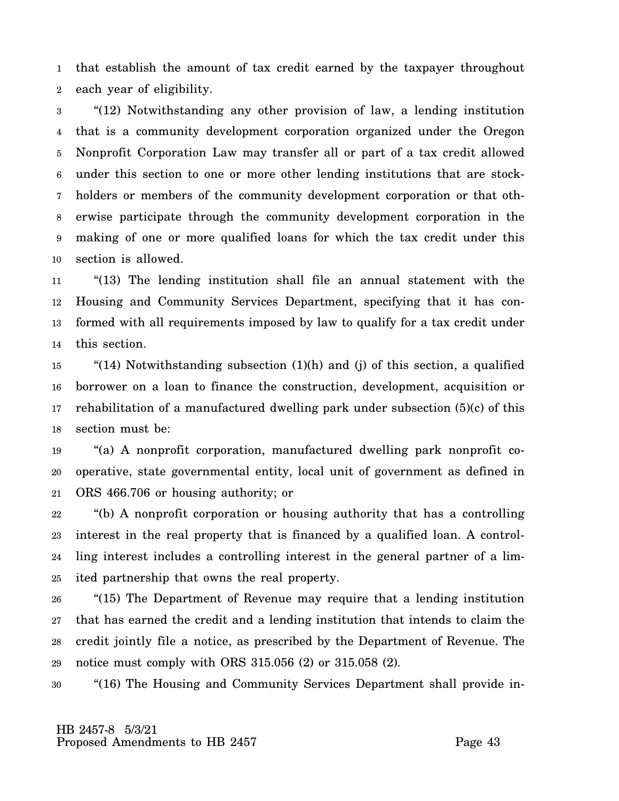1 2 that establish the amount of tax credit earned by the taxpayer throughout each year of eligibility.

3 4 5 6 7 8 9 10 "(12) Notwithstanding any other provision of law, a lending institution that is a community development corporation organized under the Oregon Nonprofit Corporation Law may transfer all or part of a tax credit allowed under this section to one or more other lending institutions that are stockholders or members of the community development corporation or that otherwise participate through the community development corporation in the making of one or more qualified loans for which the tax credit under this section is allowed.

11 12 13 14 "(13) The lending institution shall file an annual statement with the Housing and Community Services Department, specifying that it has conformed with all requirements imposed by law to qualify for a tax credit under this section.

15 16 17 18 "(14) Notwithstanding subsection (1)(h) and (j) of this section, a qualified borrower on a loan to finance the construction, development, acquisition or rehabilitation of a manufactured dwelling park under subsection (5)(c) of this section must be:

19 20 21 "(a) A nonprofit corporation, manufactured dwelling park nonprofit cooperative, state governmental entity, local unit of government as defined in ORS 466.706 or housing authority; or

22 23 24 25 "(b) A nonprofit corporation or housing authority that has a controlling interest in the real property that is financed by a qualified loan. A controlling interest includes a controlling interest in the general partner of a limited partnership that owns the real property.

26 27 28 29 "(15) The Department of Revenue may require that a lending institution that has earned the credit and a lending institution that intends to claim the credit jointly file a notice, as prescribed by the Department of Revenue. The notice must comply with ORS 315.056 (2) or 315.058 (2).

30 "(16) The Housing and Community Services Department shall provide in-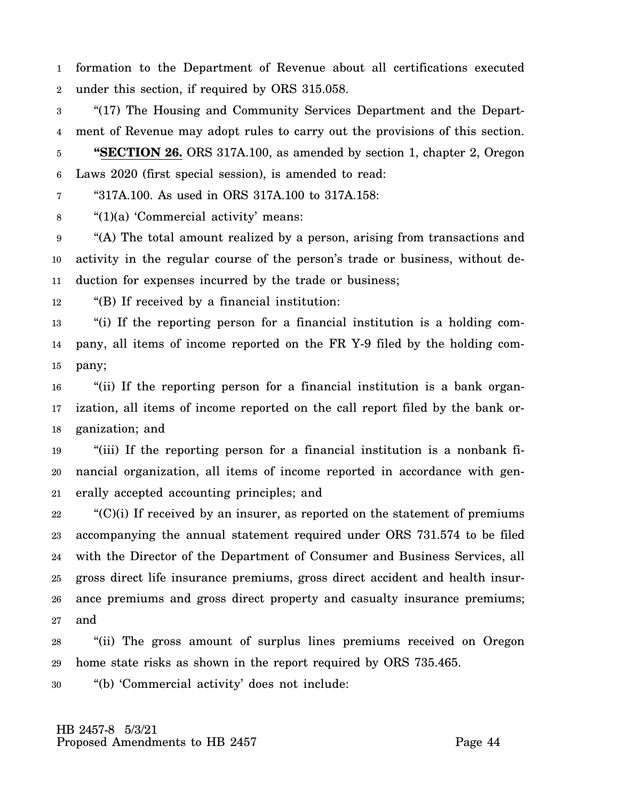1 2 formation to the Department of Revenue about all certifications executed under this section, if required by ORS 315.058.

3 4 5 6 "(17) The Housing and Community Services Department and the Department of Revenue may adopt rules to carry out the provisions of this section. **"SECTION 26.** ORS 317A.100, as amended by section 1, chapter 2, Oregon Laws 2020 (first special session), is amended to read:

7 "317A.100. As used in ORS 317A.100 to 317A.158:

8 "(1)(a) 'Commercial activity' means:

9 10 11 "(A) The total amount realized by a person, arising from transactions and activity in the regular course of the person's trade or business, without deduction for expenses incurred by the trade or business;

12 "(B) If received by a financial institution:

13 14 15 "(i) If the reporting person for a financial institution is a holding company, all items of income reported on the FR Y-9 filed by the holding company;

16 17 18 "(ii) If the reporting person for a financial institution is a bank organization, all items of income reported on the call report filed by the bank organization; and

19 20 21 "(iii) If the reporting person for a financial institution is a nonbank financial organization, all items of income reported in accordance with generally accepted accounting principles; and

22 23 24 25 26 27  $C'(C)(i)$  If received by an insurer, as reported on the statement of premiums accompanying the annual statement required under ORS 731.574 to be filed with the Director of the Department of Consumer and Business Services, all gross direct life insurance premiums, gross direct accident and health insurance premiums and gross direct property and casualty insurance premiums; and

28 29 "(ii) The gross amount of surplus lines premiums received on Oregon home state risks as shown in the report required by ORS 735.465.

30 "(b) 'Commercial activity' does not include: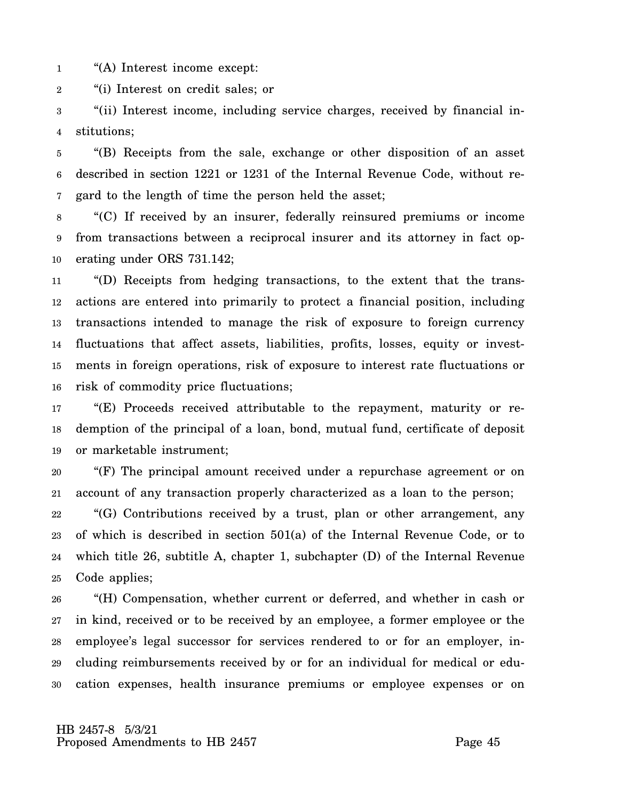1 "(A) Interest income except:

2 "(i) Interest on credit sales; or

3 4 "(ii) Interest income, including service charges, received by financial institutions;

5 6 7 "(B) Receipts from the sale, exchange or other disposition of an asset described in section 1221 or 1231 of the Internal Revenue Code, without regard to the length of time the person held the asset;

8 9 10 "(C) If received by an insurer, federally reinsured premiums or income from transactions between a reciprocal insurer and its attorney in fact operating under ORS 731.142;

11 12 13 14 15 16 "(D) Receipts from hedging transactions, to the extent that the transactions are entered into primarily to protect a financial position, including transactions intended to manage the risk of exposure to foreign currency fluctuations that affect assets, liabilities, profits, losses, equity or investments in foreign operations, risk of exposure to interest rate fluctuations or risk of commodity price fluctuations;

17 18 19 "(E) Proceeds received attributable to the repayment, maturity or redemption of the principal of a loan, bond, mutual fund, certificate of deposit or marketable instrument;

20 21 "(F) The principal amount received under a repurchase agreement or on account of any transaction properly characterized as a loan to the person;

22 23 24 25 "(G) Contributions received by a trust, plan or other arrangement, any of which is described in section 501(a) of the Internal Revenue Code, or to which title 26, subtitle A, chapter 1, subchapter (D) of the Internal Revenue Code applies;

26 27 28 29 30 "(H) Compensation, whether current or deferred, and whether in cash or in kind, received or to be received by an employee, a former employee or the employee's legal successor for services rendered to or for an employer, including reimbursements received by or for an individual for medical or education expenses, health insurance premiums or employee expenses or on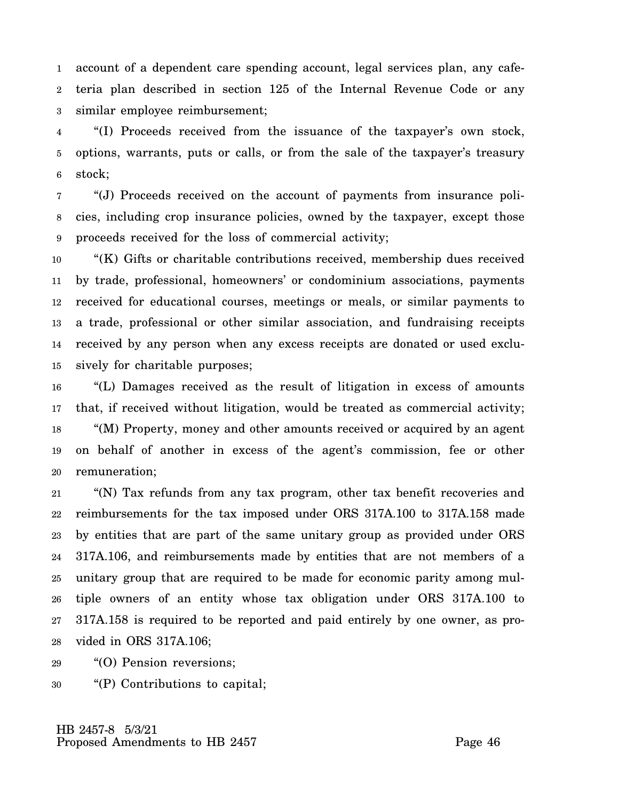1 2 3 account of a dependent care spending account, legal services plan, any cafeteria plan described in section 125 of the Internal Revenue Code or any similar employee reimbursement;

4 5 6 "(I) Proceeds received from the issuance of the taxpayer's own stock, options, warrants, puts or calls, or from the sale of the taxpayer's treasury stock;

7 8 9 "(J) Proceeds received on the account of payments from insurance policies, including crop insurance policies, owned by the taxpayer, except those proceeds received for the loss of commercial activity;

10 11 12 13 14 15 "(K) Gifts or charitable contributions received, membership dues received by trade, professional, homeowners' or condominium associations, payments received for educational courses, meetings or meals, or similar payments to a trade, professional or other similar association, and fundraising receipts received by any person when any excess receipts are donated or used exclusively for charitable purposes;

16 17 18 19 20 "(L) Damages received as the result of litigation in excess of amounts that, if received without litigation, would be treated as commercial activity; "(M) Property, money and other amounts received or acquired by an agent on behalf of another in excess of the agent's commission, fee or other remuneration;

21 22 23 24 25 26 27 28 "(N) Tax refunds from any tax program, other tax benefit recoveries and reimbursements for the tax imposed under ORS 317A.100 to 317A.158 made by entities that are part of the same unitary group as provided under ORS 317A.106, and reimbursements made by entities that are not members of a unitary group that are required to be made for economic parity among multiple owners of an entity whose tax obligation under ORS 317A.100 to 317A.158 is required to be reported and paid entirely by one owner, as provided in ORS 317A.106;

29 "(O) Pension reversions;

30 "(P) Contributions to capital;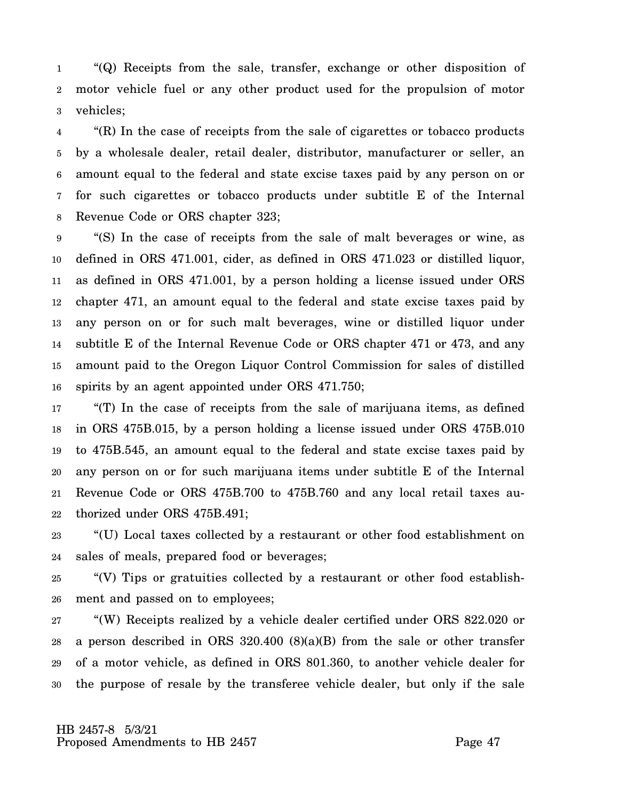1 2 3 "(Q) Receipts from the sale, transfer, exchange or other disposition of motor vehicle fuel or any other product used for the propulsion of motor vehicles;

4 5 6 7 8 "(R) In the case of receipts from the sale of cigarettes or tobacco products by a wholesale dealer, retail dealer, distributor, manufacturer or seller, an amount equal to the federal and state excise taxes paid by any person on or for such cigarettes or tobacco products under subtitle E of the Internal Revenue Code or ORS chapter 323;

9 10 11 12 13 14 15 16 "(S) In the case of receipts from the sale of malt beverages or wine, as defined in ORS 471.001, cider, as defined in ORS 471.023 or distilled liquor, as defined in ORS 471.001, by a person holding a license issued under ORS chapter 471, an amount equal to the federal and state excise taxes paid by any person on or for such malt beverages, wine or distilled liquor under subtitle E of the Internal Revenue Code or ORS chapter 471 or 473, and any amount paid to the Oregon Liquor Control Commission for sales of distilled spirits by an agent appointed under ORS 471.750;

17 18 19 20 21 22 "(T) In the case of receipts from the sale of marijuana items, as defined in ORS 475B.015, by a person holding a license issued under ORS 475B.010 to 475B.545, an amount equal to the federal and state excise taxes paid by any person on or for such marijuana items under subtitle E of the Internal Revenue Code or ORS 475B.700 to 475B.760 and any local retail taxes authorized under ORS 475B.491;

23 24 "(U) Local taxes collected by a restaurant or other food establishment on sales of meals, prepared food or beverages;

25 26 "(V) Tips or gratuities collected by a restaurant or other food establishment and passed on to employees;

27 28 29 30 "(W) Receipts realized by a vehicle dealer certified under ORS 822.020 or a person described in ORS 320.400 (8)(a)(B) from the sale or other transfer of a motor vehicle, as defined in ORS 801.360, to another vehicle dealer for the purpose of resale by the transferee vehicle dealer, but only if the sale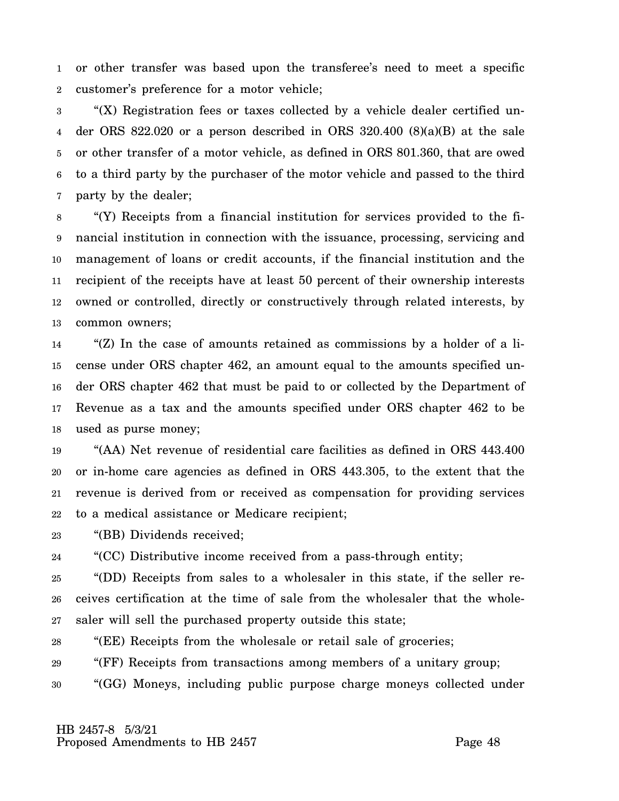1 2 or other transfer was based upon the transferee's need to meet a specific customer's preference for a motor vehicle;

3 4 5 6 7 "(X) Registration fees or taxes collected by a vehicle dealer certified under ORS 822.020 or a person described in ORS 320.400 (8)(a)(B) at the sale or other transfer of a motor vehicle, as defined in ORS 801.360, that are owed to a third party by the purchaser of the motor vehicle and passed to the third party by the dealer;

8 9 10 11 12 13 "(Y) Receipts from a financial institution for services provided to the financial institution in connection with the issuance, processing, servicing and management of loans or credit accounts, if the financial institution and the recipient of the receipts have at least 50 percent of their ownership interests owned or controlled, directly or constructively through related interests, by common owners;

14 15 16 17 18 "(Z) In the case of amounts retained as commissions by a holder of a license under ORS chapter 462, an amount equal to the amounts specified under ORS chapter 462 that must be paid to or collected by the Department of Revenue as a tax and the amounts specified under ORS chapter 462 to be used as purse money;

19 20 21 22 "(AA) Net revenue of residential care facilities as defined in ORS 443.400 or in-home care agencies as defined in ORS 443.305, to the extent that the revenue is derived from or received as compensation for providing services to a medical assistance or Medicare recipient;

23 "(BB) Dividends received;

24 "(CC) Distributive income received from a pass-through entity;

25 26 27 "(DD) Receipts from sales to a wholesaler in this state, if the seller receives certification at the time of sale from the wholesaler that the wholesaler will sell the purchased property outside this state;

28 "(EE) Receipts from the wholesale or retail sale of groceries;

29 "(FF) Receipts from transactions among members of a unitary group;

30 "(GG) Moneys, including public purpose charge moneys collected under

 HB 2457-8 5/3/21 Proposed Amendments to HB 2457 Proposed Amendments to HB 2457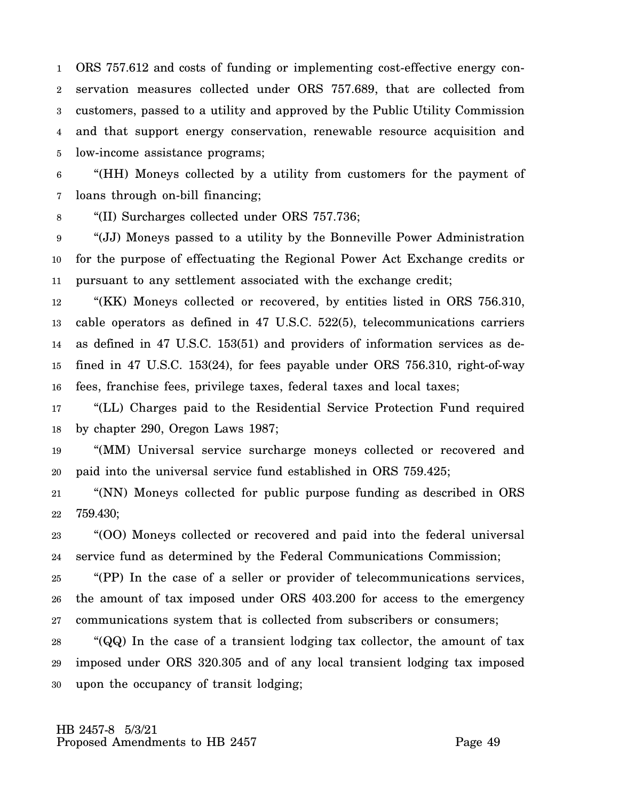1 2 3 4 5 ORS 757.612 and costs of funding or implementing cost-effective energy conservation measures collected under ORS 757.689, that are collected from customers, passed to a utility and approved by the Public Utility Commission and that support energy conservation, renewable resource acquisition and low-income assistance programs;

6 7 "(HH) Moneys collected by a utility from customers for the payment of loans through on-bill financing;

8 "(II) Surcharges collected under ORS 757.736;

9 10 11 "(JJ) Moneys passed to a utility by the Bonneville Power Administration for the purpose of effectuating the Regional Power Act Exchange credits or pursuant to any settlement associated with the exchange credit;

12 13 14 15 16 "(KK) Moneys collected or recovered, by entities listed in ORS 756.310, cable operators as defined in 47 U.S.C. 522(5), telecommunications carriers as defined in 47 U.S.C. 153(51) and providers of information services as defined in 47 U.S.C. 153(24), for fees payable under ORS 756.310, right-of-way fees, franchise fees, privilege taxes, federal taxes and local taxes;

17 18 "(LL) Charges paid to the Residential Service Protection Fund required by chapter 290, Oregon Laws 1987;

19 20 "(MM) Universal service surcharge moneys collected or recovered and paid into the universal service fund established in ORS 759.425;

21 22 "(NN) Moneys collected for public purpose funding as described in ORS 759.430;

23 24 "(OO) Moneys collected or recovered and paid into the federal universal service fund as determined by the Federal Communications Commission;

25 26 27 "(PP) In the case of a seller or provider of telecommunications services, the amount of tax imposed under ORS 403.200 for access to the emergency communications system that is collected from subscribers or consumers;

28 29 30 "(QQ) In the case of a transient lodging tax collector, the amount of tax imposed under ORS 320.305 and of any local transient lodging tax imposed upon the occupancy of transit lodging;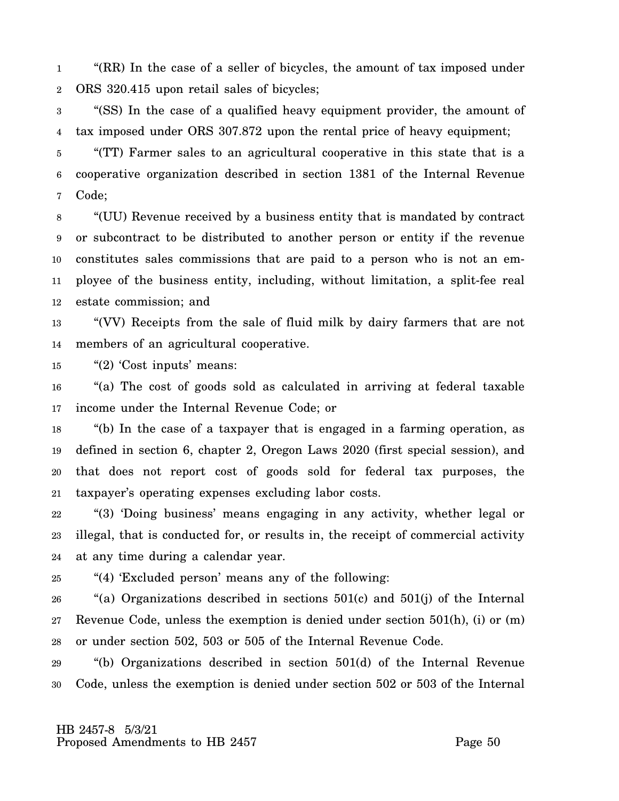1 2 "(RR) In the case of a seller of bicycles, the amount of tax imposed under ORS 320.415 upon retail sales of bicycles;

3 4 "(SS) In the case of a qualified heavy equipment provider, the amount of tax imposed under ORS 307.872 upon the rental price of heavy equipment;

5 6 7 "(TT) Farmer sales to an agricultural cooperative in this state that is a cooperative organization described in section 1381 of the Internal Revenue Code;

8 9 10 11 12 "(UU) Revenue received by a business entity that is mandated by contract or subcontract to be distributed to another person or entity if the revenue constitutes sales commissions that are paid to a person who is not an employee of the business entity, including, without limitation, a split-fee real estate commission; and

13 14 "(VV) Receipts from the sale of fluid milk by dairy farmers that are not members of an agricultural cooperative.

15 "(2) 'Cost inputs' means:

16 17 "(a) The cost of goods sold as calculated in arriving at federal taxable income under the Internal Revenue Code; or

18 19 20 21 "(b) In the case of a taxpayer that is engaged in a farming operation, as defined in section 6, chapter 2, Oregon Laws 2020 (first special session), and that does not report cost of goods sold for federal tax purposes, the taxpayer's operating expenses excluding labor costs.

22 23 24 "(3) 'Doing business' means engaging in any activity, whether legal or illegal, that is conducted for, or results in, the receipt of commercial activity at any time during a calendar year.

25 "(4) 'Excluded person' means any of the following:

26 27 28 "(a) Organizations described in sections 501(c) and 501(j) of the Internal Revenue Code, unless the exemption is denied under section 501(h), (i) or (m) or under section 502, 503 or 505 of the Internal Revenue Code.

29 30 "(b) Organizations described in section 501(d) of the Internal Revenue Code, unless the exemption is denied under section 502 or 503 of the Internal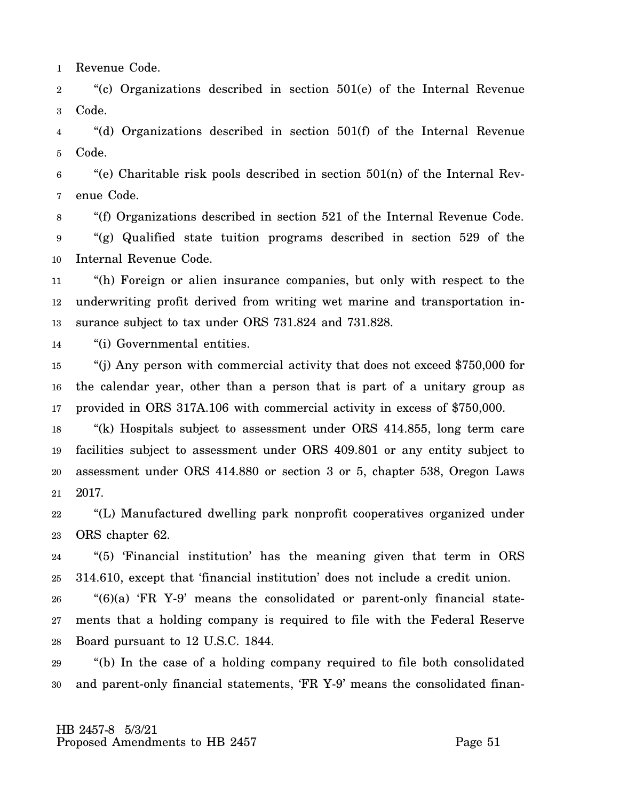1 Revenue Code.

2 3 "(c) Organizations described in section 501(e) of the Internal Revenue Code.

4 5 "(d) Organizations described in section 501(f) of the Internal Revenue Code.

6 7 "(e) Charitable risk pools described in section  $501(n)$  of the Internal Revenue Code.

8 9 10 "(f) Organizations described in section 521 of the Internal Revenue Code. "(g) Qualified state tuition programs described in section 529 of the Internal Revenue Code.

11 12 13 "(h) Foreign or alien insurance companies, but only with respect to the underwriting profit derived from writing wet marine and transportation insurance subject to tax under ORS 731.824 and 731.828.

14 "(i) Governmental entities.

15 16 17 "(j) Any person with commercial activity that does not exceed \$750,000 for the calendar year, other than a person that is part of a unitary group as provided in ORS 317A.106 with commercial activity in excess of \$750,000.

18 19 20 21 "(k) Hospitals subject to assessment under ORS 414.855, long term care facilities subject to assessment under ORS 409.801 or any entity subject to assessment under ORS 414.880 or section 3 or 5, chapter 538, Oregon Laws 2017.

22 23 "(L) Manufactured dwelling park nonprofit cooperatives organized under ORS chapter 62.

24 25 "(5) 'Financial institution' has the meaning given that term in ORS 314.610, except that 'financial institution' does not include a credit union.

26 27 28 "(6)(a) 'FR Y-9' means the consolidated or parent-only financial statements that a holding company is required to file with the Federal Reserve Board pursuant to 12 U.S.C. 1844.

29 30 "(b) In the case of a holding company required to file both consolidated and parent-only financial statements, 'FR Y-9' means the consolidated finan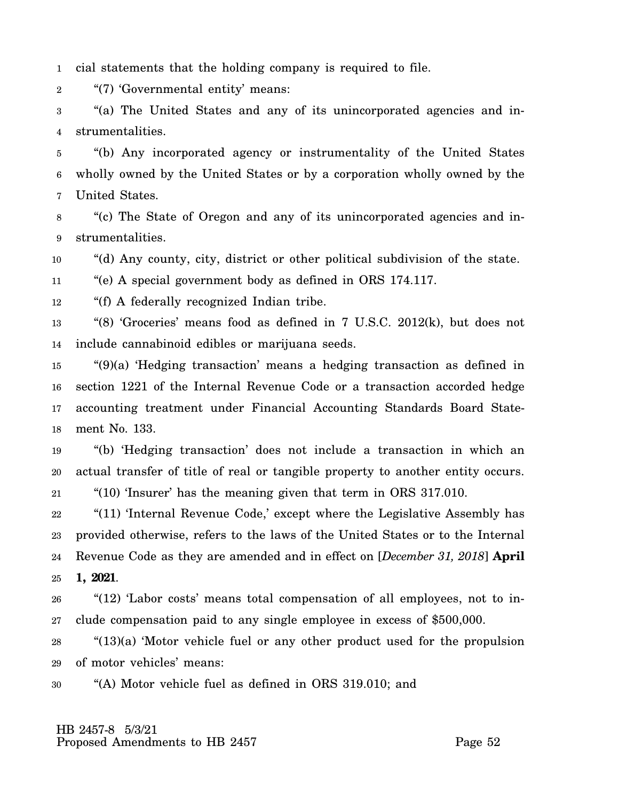1 cial statements that the holding company is required to file.

2 "(7) 'Governmental entity' means:

3 4 "(a) The United States and any of its unincorporated agencies and instrumentalities.

5 6 7 "(b) Any incorporated agency or instrumentality of the United States wholly owned by the United States or by a corporation wholly owned by the United States.

8 9 "(c) The State of Oregon and any of its unincorporated agencies and instrumentalities.

10 "(d) Any county, city, district or other political subdivision of the state.

11 "(e) A special government body as defined in ORS 174.117.

12 "(f) A federally recognized Indian tribe.

13 14 "(8) 'Groceries' means food as defined in 7 U.S.C. 2012(k), but does not include cannabinoid edibles or marijuana seeds.

15 16 17 18 "(9)(a) 'Hedging transaction' means a hedging transaction as defined in section 1221 of the Internal Revenue Code or a transaction accorded hedge accounting treatment under Financial Accounting Standards Board Statement No. 133.

19 20 "(b) 'Hedging transaction' does not include a transaction in which an actual transfer of title of real or tangible property to another entity occurs.

21 "(10) 'Insurer' has the meaning given that term in ORS 317.010.

22 23 24 25 "(11) 'Internal Revenue Code,' except where the Legislative Assembly has provided otherwise, refers to the laws of the United States or to the Internal Revenue Code as they are amended and in effect on [*December 31, 2018*] **April 1, 2021**.

26 27 "(12) 'Labor costs' means total compensation of all employees, not to include compensation paid to any single employee in excess of \$500,000.

28 29 "(13)(a) 'Motor vehicle fuel or any other product used for the propulsion of motor vehicles' means:

30 "(A) Motor vehicle fuel as defined in ORS 319.010; and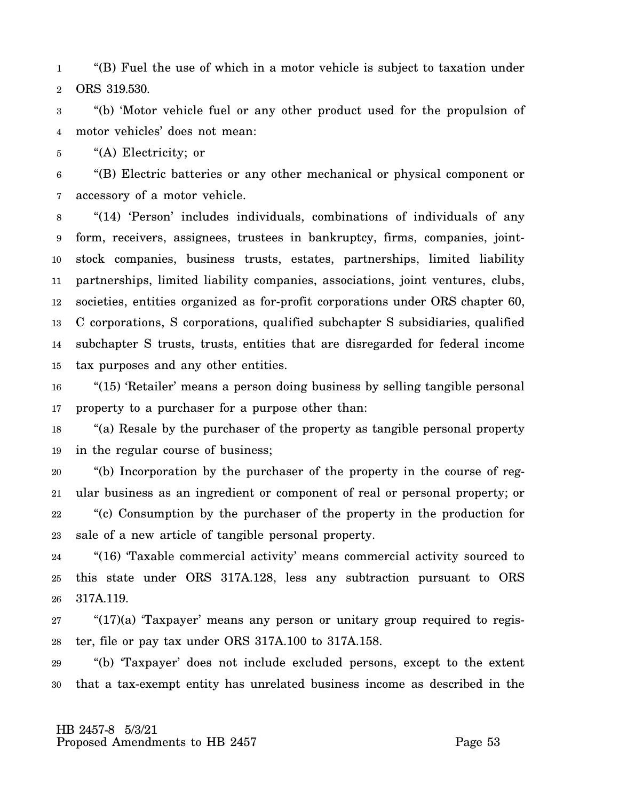1 2 "(B) Fuel the use of which in a motor vehicle is subject to taxation under ORS 319.530.

3 4 "(b) 'Motor vehicle fuel or any other product used for the propulsion of motor vehicles' does not mean:

5 "(A) Electricity; or

6 7 "(B) Electric batteries or any other mechanical or physical component or accessory of a motor vehicle.

8 9 10 11 12 13 14 15 "(14) 'Person' includes individuals, combinations of individuals of any form, receivers, assignees, trustees in bankruptcy, firms, companies, jointstock companies, business trusts, estates, partnerships, limited liability partnerships, limited liability companies, associations, joint ventures, clubs, societies, entities organized as for-profit corporations under ORS chapter 60, C corporations, S corporations, qualified subchapter S subsidiaries, qualified subchapter S trusts, trusts, entities that are disregarded for federal income tax purposes and any other entities.

16 17 "(15) 'Retailer' means a person doing business by selling tangible personal property to a purchaser for a purpose other than:

18 19 "(a) Resale by the purchaser of the property as tangible personal property in the regular course of business;

20 21 22 23 "(b) Incorporation by the purchaser of the property in the course of regular business as an ingredient or component of real or personal property; or "(c) Consumption by the purchaser of the property in the production for sale of a new article of tangible personal property.

24 25 26 "(16) 'Taxable commercial activity' means commercial activity sourced to this state under ORS 317A.128, less any subtraction pursuant to ORS 317A.119.

27 28 "(17)(a) 'Taxpayer' means any person or unitary group required to register, file or pay tax under ORS 317A.100 to 317A.158.

29 30 "(b) 'Taxpayer' does not include excluded persons, except to the extent that a tax-exempt entity has unrelated business income as described in the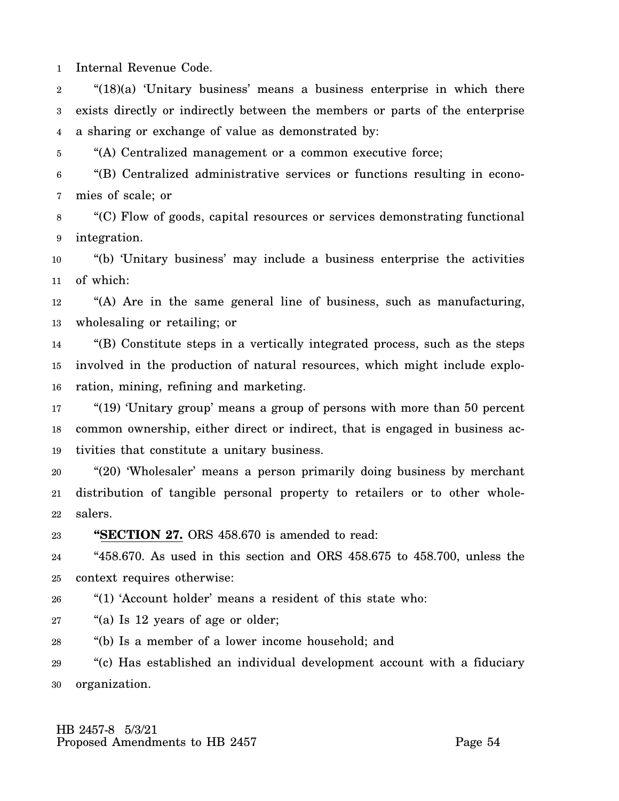1 Internal Revenue Code.

2 3 4 " $(18)(a)$  'Unitary business' means a business enterprise in which there exists directly or indirectly between the members or parts of the enterprise a sharing or exchange of value as demonstrated by:

5 "(A) Centralized management or a common executive force;

6 7 "(B) Centralized administrative services or functions resulting in economies of scale; or

8 9 "(C) Flow of goods, capital resources or services demonstrating functional integration.

10 11 "(b) 'Unitary business' may include a business enterprise the activities of which:

12 13 "(A) Are in the same general line of business, such as manufacturing, wholesaling or retailing; or

14 15 16 "(B) Constitute steps in a vertically integrated process, such as the steps involved in the production of natural resources, which might include exploration, mining, refining and marketing.

17 18 19 "(19) 'Unitary group' means a group of persons with more than 50 percent common ownership, either direct or indirect, that is engaged in business activities that constitute a unitary business.

20 21 22 "(20) 'Wholesaler' means a person primarily doing business by merchant distribution of tangible personal property to retailers or to other wholesalers.

23 **"SECTION 27.** ORS 458.670 is amended to read:

24 25 "458.670. As used in this section and ORS 458.675 to 458.700, unless the context requires otherwise:

26 "(1) 'Account holder' means a resident of this state who:

27 "(a) Is 12 years of age or older;

28 "(b) Is a member of a lower income household; and

29 30 "(c) Has established an individual development account with a fiduciary organization.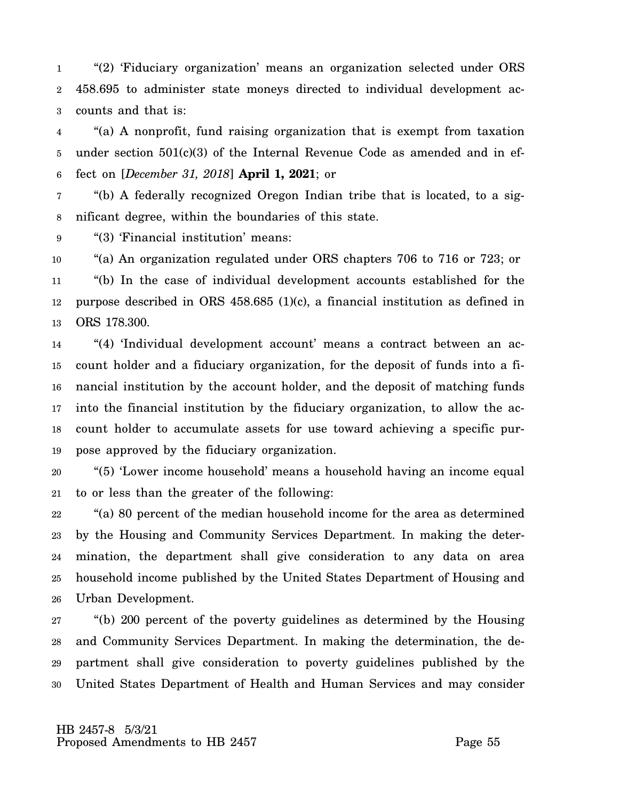1 2 3 "(2) 'Fiduciary organization' means an organization selected under ORS 458.695 to administer state moneys directed to individual development accounts and that is:

4 5 6 "(a) A nonprofit, fund raising organization that is exempt from taxation under section  $501(c)(3)$  of the Internal Revenue Code as amended and in effect on [*December 31, 2018*] **April 1, 2021**; or

7 8 "(b) A federally recognized Oregon Indian tribe that is located, to a significant degree, within the boundaries of this state.

9 "(3) 'Financial institution' means:

10 11 12 13 "(a) An organization regulated under ORS chapters 706 to 716 or 723; or "(b) In the case of individual development accounts established for the purpose described in ORS 458.685 (1)(c), a financial institution as defined in ORS 178.300.

14 15 16 17 18 19 "(4) 'Individual development account' means a contract between an account holder and a fiduciary organization, for the deposit of funds into a financial institution by the account holder, and the deposit of matching funds into the financial institution by the fiduciary organization, to allow the account holder to accumulate assets for use toward achieving a specific purpose approved by the fiduciary organization.

20 21 "(5) 'Lower income household' means a household having an income equal to or less than the greater of the following:

22 23 24 25 26 "(a) 80 percent of the median household income for the area as determined by the Housing and Community Services Department. In making the determination, the department shall give consideration to any data on area household income published by the United States Department of Housing and Urban Development.

27 28 29 30 "(b) 200 percent of the poverty guidelines as determined by the Housing and Community Services Department. In making the determination, the department shall give consideration to poverty guidelines published by the United States Department of Health and Human Services and may consider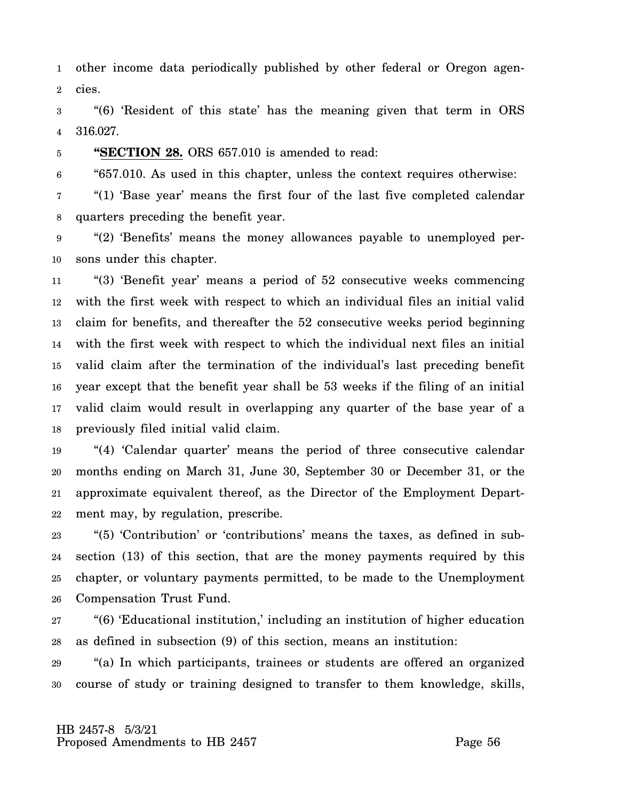1 2 other income data periodically published by other federal or Oregon agencies.

3 4 "(6) 'Resident of this state' has the meaning given that term in ORS 316.027.

5 **"SECTION 28.** ORS 657.010 is amended to read:

6 "657.010. As used in this chapter, unless the context requires otherwise:

7 8 "(1) 'Base year' means the first four of the last five completed calendar quarters preceding the benefit year.

9 10 "(2) 'Benefits' means the money allowances payable to unemployed persons under this chapter.

11 12 13 14 15 16 17 18 "(3) 'Benefit year' means a period of 52 consecutive weeks commencing with the first week with respect to which an individual files an initial valid claim for benefits, and thereafter the 52 consecutive weeks period beginning with the first week with respect to which the individual next files an initial valid claim after the termination of the individual's last preceding benefit year except that the benefit year shall be 53 weeks if the filing of an initial valid claim would result in overlapping any quarter of the base year of a previously filed initial valid claim.

19 20 21 22 "(4) 'Calendar quarter' means the period of three consecutive calendar months ending on March 31, June 30, September 30 or December 31, or the approximate equivalent thereof, as the Director of the Employment Department may, by regulation, prescribe.

23 24 25 26 "(5) 'Contribution' or 'contributions' means the taxes, as defined in subsection (13) of this section, that are the money payments required by this chapter, or voluntary payments permitted, to be made to the Unemployment Compensation Trust Fund.

27 28 "(6) 'Educational institution,' including an institution of higher education as defined in subsection (9) of this section, means an institution:

29 30 "(a) In which participants, trainees or students are offered an organized course of study or training designed to transfer to them knowledge, skills,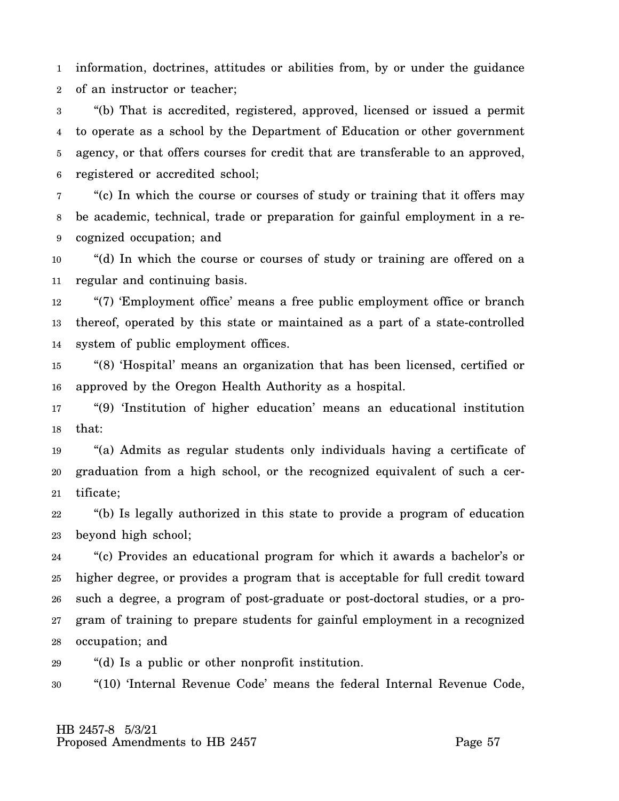1 2 information, doctrines, attitudes or abilities from, by or under the guidance of an instructor or teacher;

3 4 5 6 "(b) That is accredited, registered, approved, licensed or issued a permit to operate as a school by the Department of Education or other government agency, or that offers courses for credit that are transferable to an approved, registered or accredited school;

7 8 9 "(c) In which the course or courses of study or training that it offers may be academic, technical, trade or preparation for gainful employment in a recognized occupation; and

10 11 "(d) In which the course or courses of study or training are offered on a regular and continuing basis.

12 13 14 "(7) 'Employment office' means a free public employment office or branch thereof, operated by this state or maintained as a part of a state-controlled system of public employment offices.

15 16 "(8) 'Hospital' means an organization that has been licensed, certified or approved by the Oregon Health Authority as a hospital.

17 18 "(9) 'Institution of higher education' means an educational institution that:

19 20 21 "(a) Admits as regular students only individuals having a certificate of graduation from a high school, or the recognized equivalent of such a certificate;

22 23 "(b) Is legally authorized in this state to provide a program of education beyond high school;

24 25 26 27 28 "(c) Provides an educational program for which it awards a bachelor's or higher degree, or provides a program that is acceptable for full credit toward such a degree, a program of post-graduate or post-doctoral studies, or a program of training to prepare students for gainful employment in a recognized occupation; and

29 "(d) Is a public or other nonprofit institution.

30 "(10) 'Internal Revenue Code' means the federal Internal Revenue Code,

 HB 2457-8 5/3/21 Proposed Amendments to HB 2457 Proposed Amendments to HB 2457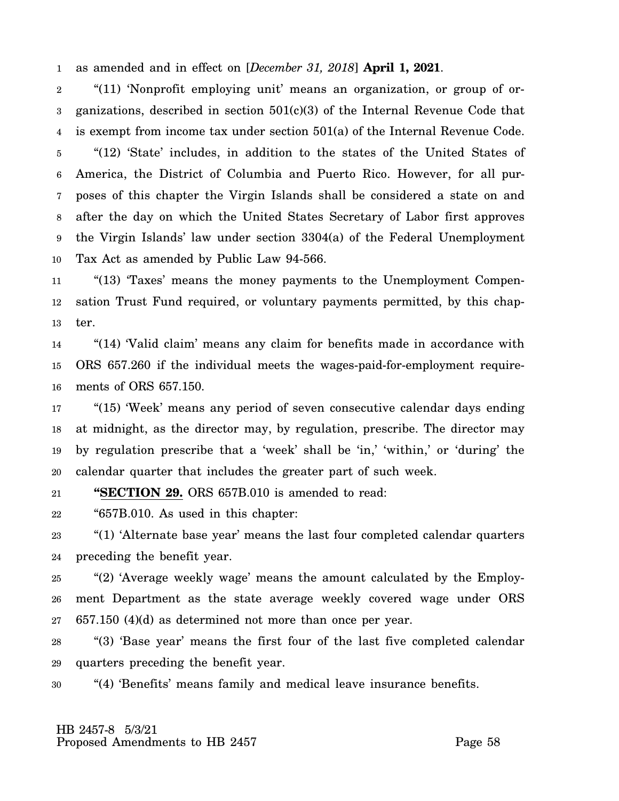1 as amended and in effect on [*December 31, 2018*] **April 1, 2021**.

2 3 4 5 6 7 8 9 10 "(11) 'Nonprofit employing unit' means an organization, or group of organizations, described in section  $501(c)(3)$  of the Internal Revenue Code that is exempt from income tax under section 501(a) of the Internal Revenue Code. "(12) 'State' includes, in addition to the states of the United States of America, the District of Columbia and Puerto Rico. However, for all purposes of this chapter the Virgin Islands shall be considered a state on and after the day on which the United States Secretary of Labor first approves the Virgin Islands' law under section 3304(a) of the Federal Unemployment Tax Act as amended by Public Law 94-566.

11 12 13 "(13) 'Taxes' means the money payments to the Unemployment Compensation Trust Fund required, or voluntary payments permitted, by this chapter.

14 15 16 "(14) 'Valid claim' means any claim for benefits made in accordance with ORS 657.260 if the individual meets the wages-paid-for-employment requirements of ORS 657.150.

17 18 19 20 "(15) 'Week' means any period of seven consecutive calendar days ending at midnight, as the director may, by regulation, prescribe. The director may by regulation prescribe that a 'week' shall be 'in,' 'within,' or 'during' the calendar quarter that includes the greater part of such week.

21 **"SECTION 29.** ORS 657B.010 is amended to read:

22 "657B.010. As used in this chapter:

23 24 "(1) 'Alternate base year' means the last four completed calendar quarters preceding the benefit year.

25 26 27 "(2) 'Average weekly wage' means the amount calculated by the Employment Department as the state average weekly covered wage under ORS 657.150 (4)(d) as determined not more than once per year.

28 29 "(3) 'Base year' means the first four of the last five completed calendar quarters preceding the benefit year.

30 "(4) 'Benefits' means family and medical leave insurance benefits.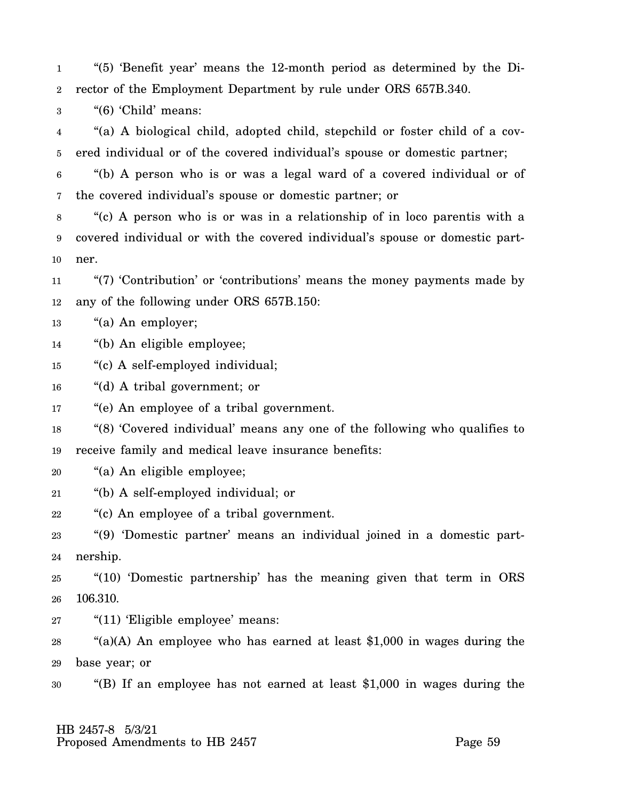1 2 "(5) 'Benefit year' means the 12-month period as determined by the Director of the Employment Department by rule under ORS 657B.340.

3 "(6) 'Child' means:

4 5 "(a) A biological child, adopted child, stepchild or foster child of a covered individual or of the covered individual's spouse or domestic partner;

6 7 "(b) A person who is or was a legal ward of a covered individual or of the covered individual's spouse or domestic partner; or

8 9 10 "(c) A person who is or was in a relationship of in loco parentis with a covered individual or with the covered individual's spouse or domestic partner.

11 12 "(7) 'Contribution' or 'contributions' means the money payments made by any of the following under ORS 657B.150:

13 "(a) An employer;

14 "(b) An eligible employee;

15 "(c) A self-employed individual;

16 "(d) A tribal government; or

17 "(e) An employee of a tribal government.

18 19 "(8) 'Covered individual' means any one of the following who qualifies to receive family and medical leave insurance benefits:

20 "(a) An eligible employee;

21 "(b) A self-employed individual; or

22 "(c) An employee of a tribal government.

23 24 "(9) 'Domestic partner' means an individual joined in a domestic partnership.

25 26 "(10) 'Domestic partnership' has the meaning given that term in ORS 106.310.

27 "(11) 'Eligible employee' means:

28 29 " $(a)(A)$  An employee who has earned at least \$1,000 in wages during the base year; or

30 "(B) If an employee has not earned at least \$1,000 in wages during the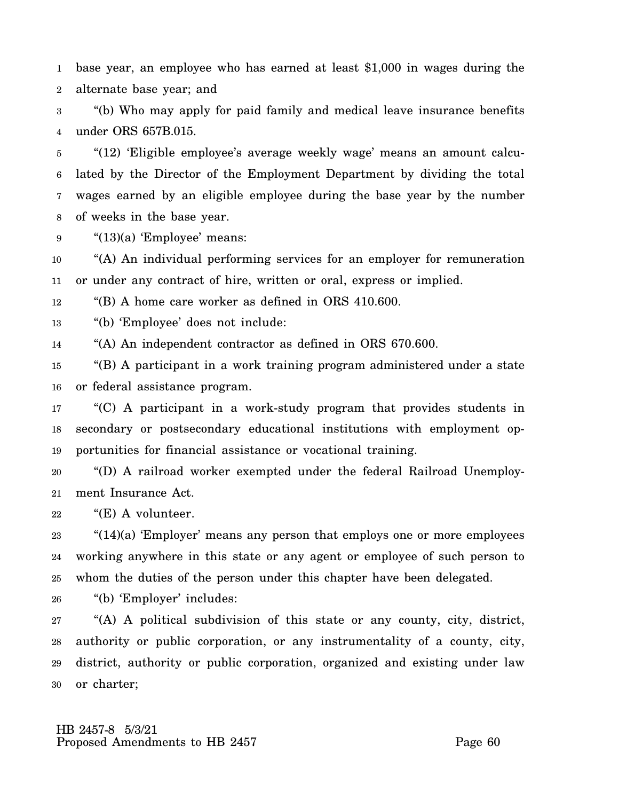1 2 base year, an employee who has earned at least \$1,000 in wages during the alternate base year; and

3 4 "(b) Who may apply for paid family and medical leave insurance benefits under ORS 657B.015.

5 6 7 8 "(12) 'Eligible employee's average weekly wage' means an amount calculated by the Director of the Employment Department by dividing the total wages earned by an eligible employee during the base year by the number of weeks in the base year.

9 "(13)(a) 'Employee' means:

10 11 "(A) An individual performing services for an employer for remuneration or under any contract of hire, written or oral, express or implied.

12 "(B) A home care worker as defined in ORS 410.600.

13 "(b) 'Employee' does not include:

14 "(A) An independent contractor as defined in ORS 670.600.

15 16 "(B) A participant in a work training program administered under a state or federal assistance program.

17 18 19 "(C) A participant in a work-study program that provides students in secondary or postsecondary educational institutions with employment opportunities for financial assistance or vocational training.

20 21 "(D) A railroad worker exempted under the federal Railroad Unemployment Insurance Act.

22 "(E) A volunteer.

23 24 25 " $(14)(a)$  'Employer' means any person that employs one or more employees working anywhere in this state or any agent or employee of such person to whom the duties of the person under this chapter have been delegated.

26 "(b) 'Employer' includes:

27 28 29 30 "(A) A political subdivision of this state or any county, city, district, authority or public corporation, or any instrumentality of a county, city, district, authority or public corporation, organized and existing under law or charter;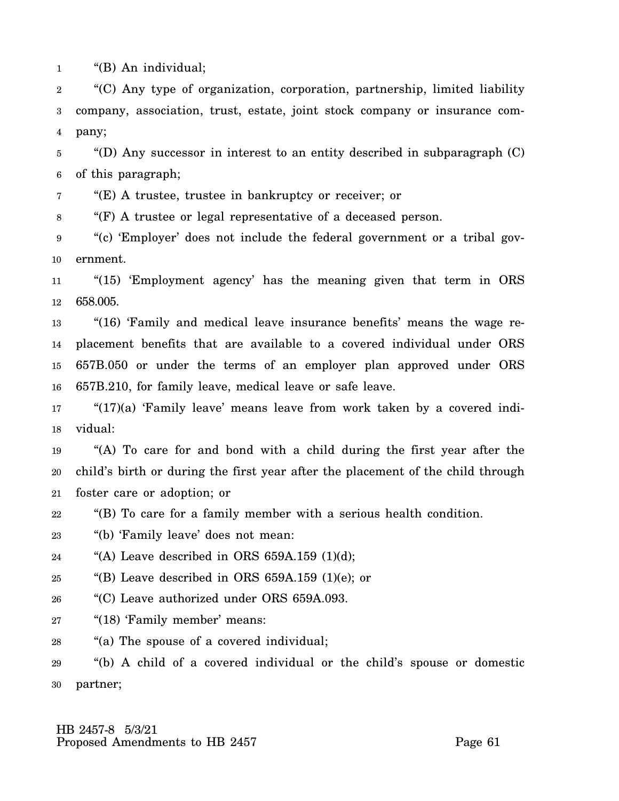1 "(B) An individual;

2 3 4 "(C) Any type of organization, corporation, partnership, limited liability company, association, trust, estate, joint stock company or insurance company;

5 6 "(D) Any successor in interest to an entity described in subparagraph (C) of this paragraph;

7 "(E) A trustee, trustee in bankruptcy or receiver; or

8 "(F) A trustee or legal representative of a deceased person.

9 10 "(c) 'Employer' does not include the federal government or a tribal government.

11 12 "(15) 'Employment agency' has the meaning given that term in ORS 658.005.

13 14 15 16 "(16) 'Family and medical leave insurance benefits' means the wage replacement benefits that are available to a covered individual under ORS 657B.050 or under the terms of an employer plan approved under ORS 657B.210, for family leave, medical leave or safe leave.

17 18 " $(17)(a)$  'Family leave' means leave from work taken by a covered individual:

19 20 21 "(A) To care for and bond with a child during the first year after the child's birth or during the first year after the placement of the child through foster care or adoption; or

22 "(B) To care for a family member with a serious health condition.

23 "(b) 'Family leave' does not mean:

24 "(A) Leave described in ORS  $659A.159$  (1)(d);

25 "(B) Leave described in ORS  $659A.159$  (1)(e); or

26 "(C) Leave authorized under ORS 659A.093.

27 "(18) 'Family member' means:

28 "(a) The spouse of a covered individual;

29 30 "(b) A child of a covered individual or the child's spouse or domestic partner;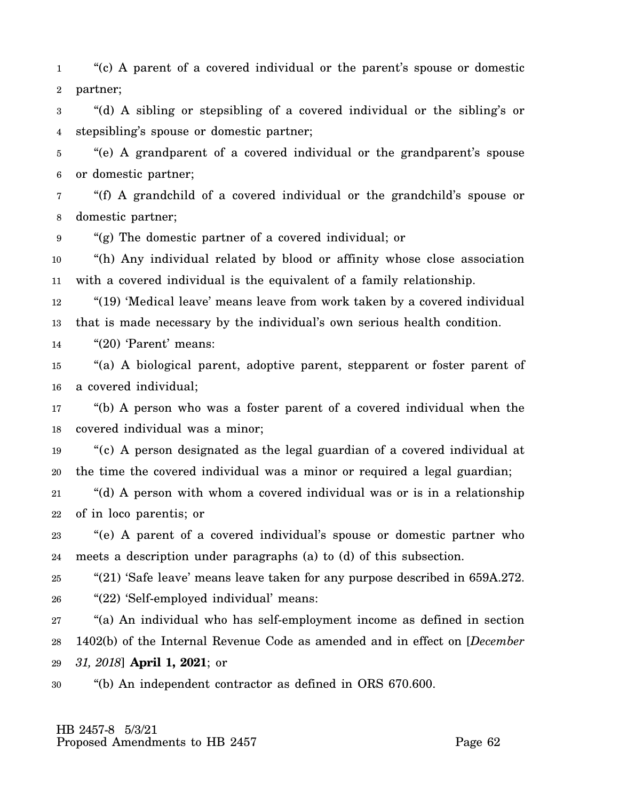1 2 "(c) A parent of a covered individual or the parent's spouse or domestic partner;

3 4 "(d) A sibling or stepsibling of a covered individual or the sibling's or stepsibling's spouse or domestic partner;

5 6 "(e) A grandparent of a covered individual or the grandparent's spouse or domestic partner;

7 8 "(f) A grandchild of a covered individual or the grandchild's spouse or domestic partner;

9 "(g) The domestic partner of a covered individual; or

10 11 "(h) Any individual related by blood or affinity whose close association with a covered individual is the equivalent of a family relationship.

12 13 "(19) 'Medical leave' means leave from work taken by a covered individual that is made necessary by the individual's own serious health condition.

14 "(20) 'Parent' means:

15 16 "(a) A biological parent, adoptive parent, stepparent or foster parent of a covered individual;

17 18 "(b) A person who was a foster parent of a covered individual when the covered individual was a minor;

19 20 "(c) A person designated as the legal guardian of a covered individual at the time the covered individual was a minor or required a legal guardian;

21 22 "(d) A person with whom a covered individual was or is in a relationship of in loco parentis; or

23 24 "(e) A parent of a covered individual's spouse or domestic partner who meets a description under paragraphs (a) to (d) of this subsection.

25 26 "(21) 'Safe leave' means leave taken for any purpose described in 659A.272. "(22) 'Self-employed individual' means:

27 28 29 "(a) An individual who has self-employment income as defined in section 1402(b) of the Internal Revenue Code as amended and in effect on [*December 31, 2018*] **April 1, 2021**; or

30 "(b) An independent contractor as defined in ORS 670.600.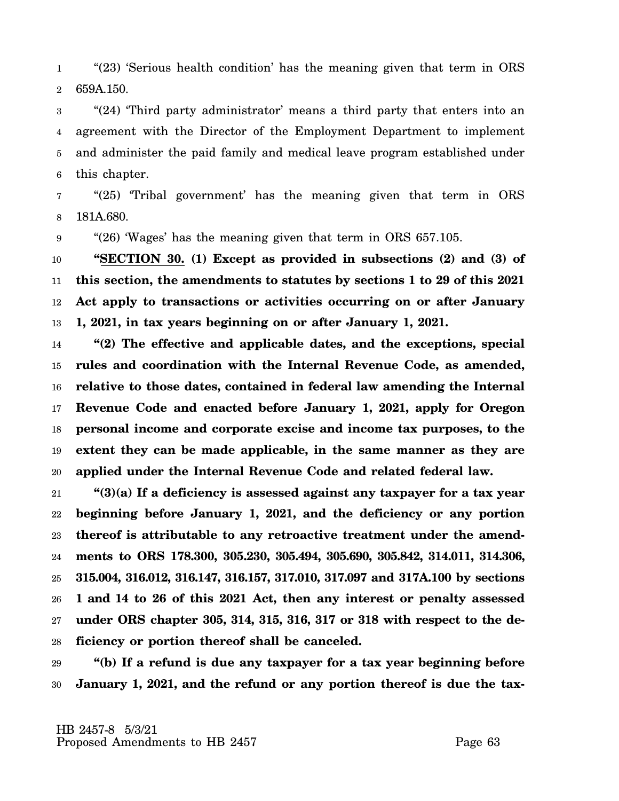1 2 "(23) 'Serious health condition' has the meaning given that term in ORS 659A.150.

3 4 5 6 "(24) 'Third party administrator' means a third party that enters into an agreement with the Director of the Employment Department to implement and administer the paid family and medical leave program established under this chapter.

7 8 "(25) 'Tribal government' has the meaning given that term in ORS 181A.680.

9 "(26) 'Wages' has the meaning given that term in ORS 657.105.

10 11 12 13 **"SECTION 30. (1) Except as provided in subsections (2) and (3) of this section, the amendments to statutes by sections 1 to 29 of this 2021 Act apply to transactions or activities occurring on or after January 1, 2021, in tax years beginning on or after January 1, 2021.**

14 15 16 17 18 19 20 **"(2) The effective and applicable dates, and the exceptions, special rules and coordination with the Internal Revenue Code, as amended, relative to those dates, contained in federal law amending the Internal Revenue Code and enacted before January 1, 2021, apply for Oregon personal income and corporate excise and income tax purposes, to the extent they can be made applicable, in the same manner as they are applied under the Internal Revenue Code and related federal law.**

21 22 23 24 25 26 27 28 **"(3)(a) If a deficiency is assessed against any taxpayer for a tax year beginning before January 1, 2021, and the deficiency or any portion thereof is attributable to any retroactive treatment under the amendments to ORS 178.300, 305.230, 305.494, 305.690, 305.842, 314.011, 314.306, 315.004, 316.012, 316.147, 316.157, 317.010, 317.097 and 317A.100 by sections 1 and 14 to 26 of this 2021 Act, then any interest or penalty assessed under ORS chapter 305, 314, 315, 316, 317 or 318 with respect to the deficiency or portion thereof shall be canceled.**

29 30 **"(b) If a refund is due any taxpayer for a tax year beginning before January 1, 2021, and the refund or any portion thereof is due the tax-**